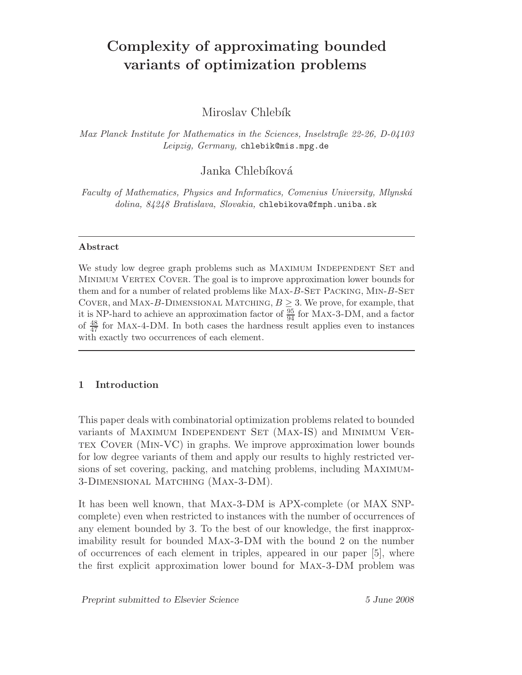# Complexity of approximating bounded variants of optimization problems

Miroslav Chlebík

Max Planck Institute for Mathematics in the Sciences, Inselstraße 22-26, D-04103 Leipzig, Germany, chlebik@mis.mpg.de

Janka Chlebíková

Faculty of Mathematics, Physics and Informatics, Comenius University, Mlynská dolina, 84248 Bratislava, Slovakia, chlebikova@fmph.uniba.sk

## Abstract

We study low degree graph problems such as MAXIMUM INDEPENDENT SET and MINIMUM VERTEX COVER. The goal is to improve approximation lower bounds for them and for a number of related problems like MAX-B-SET PACKING, MIN-B-SET COVER, and MAX-B-DIMENSIONAL MATCHING,  $B \geq 3$ . We prove, for example, that it is NP-hard to achieve an approximation factor of  $\frac{95}{94}$  for MAX-3-DM, and a factor of  $\frac{48}{47}$  for MAX-4-DM. In both cases the hardness result applies even to instances with exactly two occurrences of each element.

# 1 Introduction

This paper deals with combinatorial optimization problems related to bounded variants of MAXIMUM INDEPENDENT SET (MAX-IS) and MINIMUM VERtex Cover (Min-VC) in graphs. We improve approximation lower bounds for low degree variants of them and apply our results to highly restricted versions of set covering, packing, and matching problems, including Maximum-3-Dimensional Matching (Max-3-DM).

It has been well known, that Max-3-DM is APX-complete (or MAX SNPcomplete) even when restricted to instances with the number of occurrences of any element bounded by 3. To the best of our knowledge, the first inapproximability result for bounded Max-3-DM with the bound 2 on the number of occurrences of each element in triples, appeared in our paper [5], where the first explicit approximation lower bound for Max-3-DM problem was

Preprint submitted to Elsevier Science 5 June 2008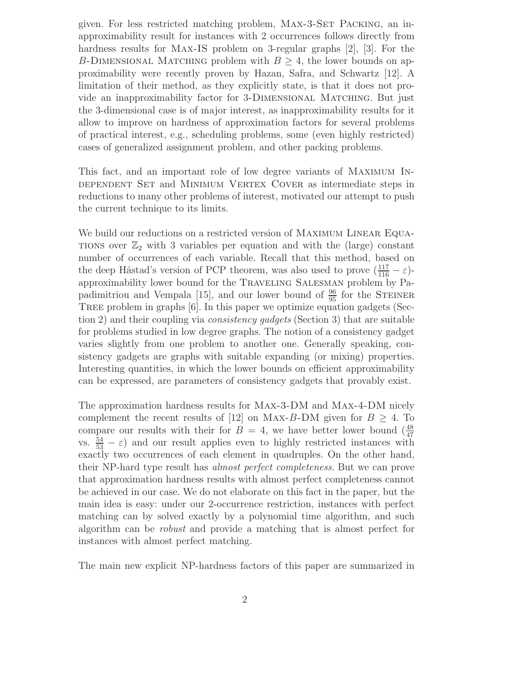given. For less restricted matching problem, MAX-3-SET PACKING, an inapproximability result for instances with 2 occurrences follows directly from hardness results for Max-IS problem on 3-regular graphs [2], [3]. For the B-DIMENSIONAL MATCHING problem with  $B > 4$ , the lower bounds on approximability were recently proven by Hazan, Safra, and Schwartz [12]. A limitation of their method, as they explicitly state, is that it does not provide an inapproximability factor for 3-Dimensional Matching. But just the 3-dimensional case is of major interest, as inapproximability results for it allow to improve on hardness of approximation factors for several problems of practical interest, e.g., scheduling problems, some (even highly restricted) cases of generalized assignment problem, and other packing problems.

This fact, and an important role of low degree variants of Maximum Independent Set and Minimum Vertex Cover as intermediate steps in reductions to many other problems of interest, motivated our attempt to push the current technique to its limits.

We build our reductions on a restricted version of MAXIMUM LINEAR EQUA-TIONS over  $\mathbb{Z}_2$  with 3 variables per equation and with the (large) constant number of occurrences of each variable. Recall that this method, based on the deep Håstad's version of PCP theorem, was also used to prove  $(\frac{117}{116} - \varepsilon)$ approximability lower bound for the TRAVELING SALESMAN problem by Papadimitriou and Vempala [15], and our lower bound of  $\frac{96}{95}$  for the STEINER Tree problem in graphs [6]. In this paper we optimize equation gadgets (Section 2) and their coupling via *consistency gadgets* (Section 3) that are suitable for problems studied in low degree graphs. The notion of a consistency gadget varies slightly from one problem to another one. Generally speaking, consistency gadgets are graphs with suitable expanding (or mixing) properties. Interesting quantities, in which the lower bounds on efficient approximability can be expressed, are parameters of consistency gadgets that provably exist.

The approximation hardness results for Max-3-DM and Max-4-DM nicely complement the recent results of [12] on MAX-B-DM given for  $B \geq 4$ . To compare our results with their for  $B = 4$ , we have better lower bound  $\left(\frac{48}{47}\right)$ vs.  $\frac{54}{53} - \varepsilon$  and our result applies even to highly restricted instances with exactly two occurrences of each element in quadruples. On the other hand, their NP-hard type result has almost perfect completeness. But we can prove that approximation hardness results with almost perfect completeness cannot be achieved in our case. We do not elaborate on this fact in the paper, but the main idea is easy: under our 2-occurrence restriction, instances with perfect matching can by solved exactly by a polynomial time algorithm, and such algorithm can be robust and provide a matching that is almost perfect for instances with almost perfect matching.

The main new explicit NP-hardness factors of this paper are summarized in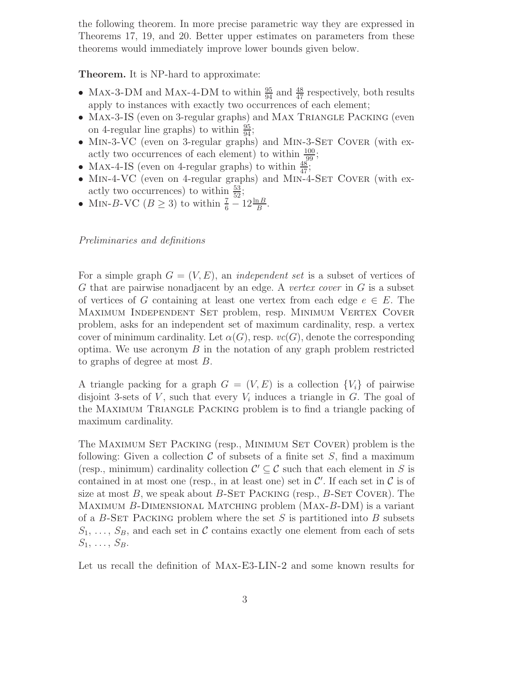the following theorem. In more precise parametric way they are expressed in Theorems 17, 19, and 20. Better upper estimates on parameters from these theorems would immediately improve lower bounds given below.

Theorem. It is NP-hard to approximate:

- Max-3-DM and Max-4-DM to within  $\frac{95}{94}$  and  $\frac{48}{47}$  respectively, both results apply to instances with exactly two occurrences of each element;
- Max-3-IS (even on 3-regular graphs) and Max Triangle Packing (even on 4-regular line graphs) to within  $\frac{95}{94}$ ;
- MIN-3-VC (even on 3-regular graphs) and MIN-3-SET COVER (with exactly two occurrences of each element) to within  $\frac{100}{29}$ ;
- MAX-4-IS (even on 4-regular graphs) to within  $\frac{48}{47}$ ;
- MIN-4-VC (even on 4-regular graphs) and MIN-4-SET COVER (with exactly two occurrences) to within  $\frac{53}{52}$ ;
- MIN-B-VC  $(B \ge 3)$  to within  $\frac{7}{6} 12 \frac{\ln B}{B}$ .

Preliminaries and definitions

For a simple graph  $G = (V, E)$ , an *independent set* is a subset of vertices of G that are pairwise nonadjacent by an edge. A vertex cover in G is a subset of vertices of G containing at least one vertex from each edge  $e \in E$ . The Maximum Independent Set problem, resp. Minimum Vertex Cover problem, asks for an independent set of maximum cardinality, resp. a vertex cover of minimum cardinality. Let  $\alpha(G)$ , resp.  $vc(G)$ , denote the corresponding optima. We use acronym  $B$  in the notation of any graph problem restricted to graphs of degree at most B.

A triangle packing for a graph  $G = (V, E)$  is a collection  $\{V_i\}$  of pairwise disjoint 3-sets of  $V$ , such that every  $V_i$  induces a triangle in  $G$ . The goal of the Maximum Triangle Packing problem is to find a triangle packing of maximum cardinality.

The Maximum Set Packing (resp., Minimum Set Cover) problem is the following: Given a collection  $\mathcal C$  of subsets of a finite set  $S$ , find a maximum (resp., minimum) cardinality collection  $\mathcal{C}' \subseteq \mathcal{C}$  such that each element in S is contained in at most one (resp., in at least one) set in  $\mathcal{C}'$ . If each set in  $\mathcal{C}$  is of size at most  $B$ , we speak about  $B$ -SET PACKING (resp.,  $B$ -SET COVER). The MAXIMUM B-DIMENSIONAL MATCHING problem  $(MAX-B-DM)$  is a variant of a  $B$ -SET PACKING problem where the set S is partitioned into B subsets  $S_1, \ldots, S_B$ , and each set in C contains exactly one element from each of sets  $S_1, \ldots, S_B.$ 

Let us recall the definition of Max-E3-LIN-2 and some known results for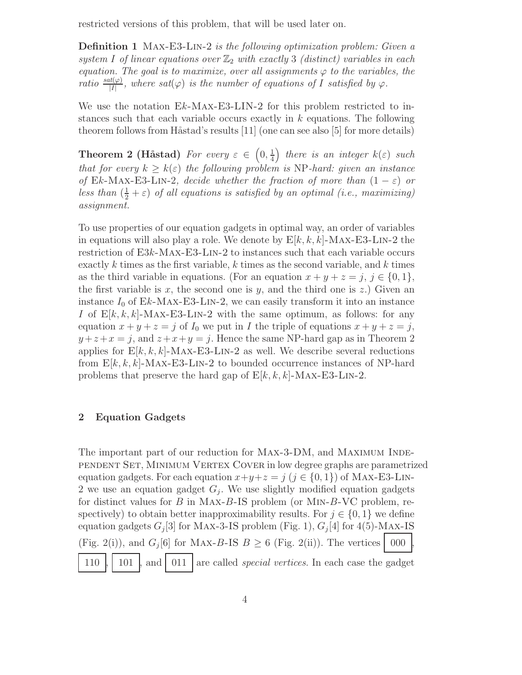restricted versions of this problem, that will be used later on.

Definition 1 Max-E3-Lin-2 is the following optimization problem: Given a system I of linear equations over  $\mathbb{Z}_2$  with exactly 3 (distinct) variables in each equation. The goal is to maximize, over all assignments  $\varphi$  to the variables, the ratio  $\frac{sat(\varphi)}{|I|}$ , where  $sat(\varphi)$  is the number of equations of I satisfied by  $\varphi$ .

We use the notation  $Ek-MAX-E3-LIN-2$  for this problem restricted to instances such that each variable occurs exactly in  $k$  equations. The following theorem follows from Håstad's results  $[11]$  (one can see also  $[5]$  for more details)

Theorem 2 (Håstad) For every  $\varepsilon \,\in\, \left(0,\frac{1}{4}\right)$ 4 ) there is an integer  $k(\varepsilon)$  such that for every  $k \geq k(\varepsilon)$  the following problem is NP-hard: given an instance of Ek-Max-E3-LIN-2, decide whether the fraction of more than  $(1 - \varepsilon)$  or less than  $(\frac{1}{2} + \varepsilon)$  of all equations is satisfied by an optimal (i.e., maximizing) assignment.

To use properties of our equation gadgets in optimal way, an order of variables in equations will also play a role. We denote by  $E[k, k, k]$ -MAX-E3-LIN-2 the restriction of E3k-Max-E3-Lin-2 to instances such that each variable occurs exactly k times as the first variable, k times as the second variable, and k times as the third variable in equations. (For an equation  $x + y + z = j$ ,  $j \in \{0, 1\}$ , the first variable is x, the second one is y, and the third one is z.) Given an instance  $I_0$  of Ek-MAX-E3-LIN-2, we can easily transform it into an instance I of  $E[k, k, k]$ -MAX-E3-LIN-2 with the same optimum, as follows: for any equation  $x + y + z = j$  of  $I_0$  we put in I the triple of equations  $x + y + z = j$ ,  $y + z + x = j$ , and  $z + x + y = j$ . Hence the same NP-hard gap as in Theorem 2 applies for  $E[k, k, k]$ -MAX-E3-LIN-2 as well. We describe several reductions from  $E[k, k, k]$ -MAX-E3-LIN-2 to bounded occurrence instances of NP-hard problems that preserve the hard gap of  $E[k, k, k]$ -MAX-E3-LIN-2.

# 2 Equation Gadgets

The important part of our reduction for MAX-3-DM, and MAXIMUM INDEpendent Set, Minimum Vertex Cover in low degree graphs are parametrized equation gadgets. For each equation  $x+y+z = j$   $(j \in \{0,1\})$  of MAX-E3-LIN-2 we use an equation gadget  $G_j$ . We use slightly modified equation gadgets for distinct values for  $B$  in MAX- $B$ -IS problem (or MIN- $B$ -VC problem, respectively) to obtain better inapproximability results. For  $j \in \{0, 1\}$  we define equation gadgets  $G_j[3]$  for MAX-3-IS problem (Fig. 1),  $G_j[4]$  for 4(5)-MAX-IS (Fig. 2(i)), and  $G_j[6]$  for MAX-B-IS  $B \geq 6$  (Fig. 2(ii)). The vertices  $\Big| 000 \Big|$ , 110  $\vert$  101  $\vert$  and 011 are called *special vertices*. In each case the gadget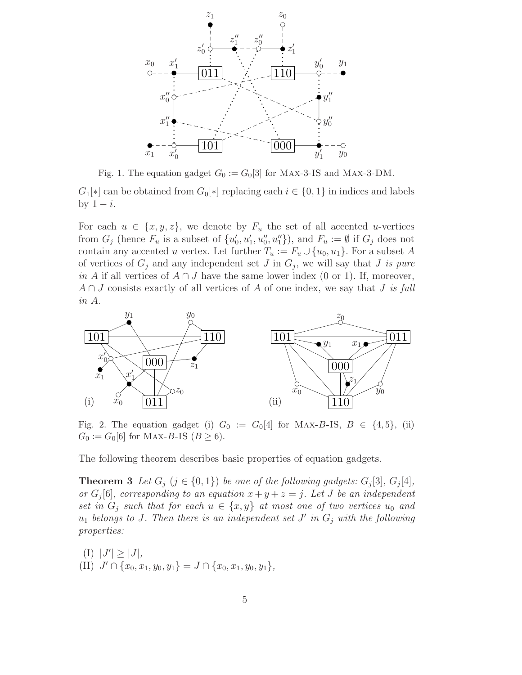

Fig. 1. The equation gadget  $G_0 := G_0[3]$  for MAX-3-IS and MAX-3-DM.

 $G_1[*]$  can be obtained from  $G_0[*]$  replacing each  $i \in \{0,1\}$  in indices and labels by  $1 - i$ .

For each  $u \in \{x, y, z\}$ , we denote by  $F_u$  the set of all accented u-vertices from  $G_j$  (hence  $F_u$  is a subset of  $\{u'_0, u'_1, u''_0, u''_1\}$ ), and  $F_u := \emptyset$  if  $G_j$  does not contain any accented u vertex. Let further  $T_u := F_u \cup \{u_0, u_1\}$ . For a subset A of vertices of  $G_j$  and any independent set J in  $G_j$ , we will say that J is pure in A if all vertices of  $A \cap J$  have the same lower index (0 or 1). If, moreover,  $A \cap J$  consists exactly of all vertices of A of one index, we say that J is full in A.



Fig. 2. The equation gadget (i)  $G_0 := G_0[4]$  for MAX-B-IS,  $B \in \{4, 5\}$ , (ii)  $G_0 := G_0[6]$  for MAX-B-IS  $(B \ge 6)$ .

The following theorem describes basic properties of equation gadgets.

**Theorem 3** Let  $G_j$  ( $j \in \{0,1\}$ ) be one of the following gadgets:  $G_j[3]$ ,  $G_j[4]$ , or  $G_j[6]$ , corresponding to an equation  $x + y + z = j$ . Let J be an independent set in  $G_i$  such that for each  $u \in \{x, y\}$  at most one of two vertices  $u_0$  and  $u_1$  belongs to J. Then there is an independent set J' in  $G_j$  with the following properties:

$$
(I) |J'| \ge |J|,
$$
  
\n
$$
(II) J' \cap \{x_0, x_1, y_0, y_1\} = J \cap \{x_0, x_1, y_0, y_1\},
$$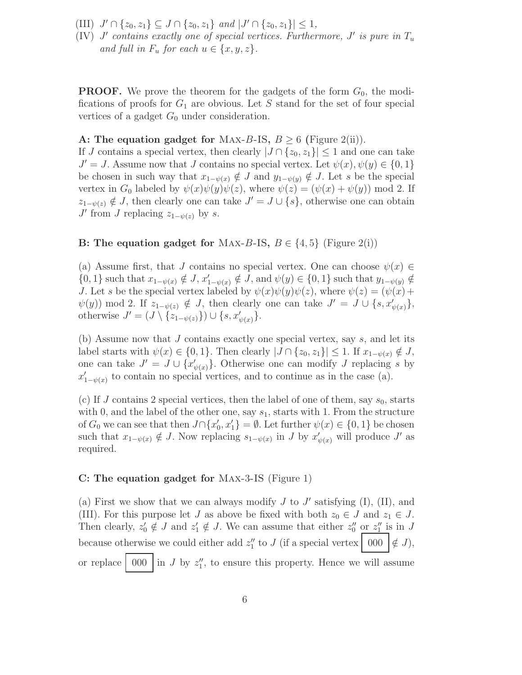- (III)  $J' \cap \{z_0, z_1\} \subseteq J \cap \{z_0, z_1\}$  and  $|J' \cap \{z_0, z_1\}| \leq 1$ ,
- (IV)  $J'$  contains exactly one of special vertices. Furthermore,  $J'$  is pure in  $T_u$ and full in  $F_u$  for each  $u \in \{x, y, z\}$ .

**PROOF.** We prove the theorem for the gadgets of the form  $G_0$ , the modifications of proofs for  $G_1$  are obvious. Let S stand for the set of four special vertices of a gadget  $G_0$  under consideration.

## A: The equation gadget for MAX-B-IS,  $B \ge 6$  (Figure 2(ii)).

If J contains a special vertex, then clearly  $|J \cap \{z_0, z_1\}| \leq 1$  and one can take  $J' = J$ . Assume now that J contains no special vertex. Let  $\psi(x), \psi(y) \in \{0, 1\}$ be chosen in such way that  $x_{1-\psi(x)} \notin J$  and  $y_{1-\psi(y)} \notin J$ . Let s be the special vertex in  $G_0$  labeled by  $\psi(x)\psi(y)\psi(z)$ , where  $\psi(z)=(\psi(x)+\psi(y)) \mod 2$ . If  $z_{1-\psi(z)} \notin J$ , then clearly one can take  $J' = J \cup \{s\}$ , otherwise one can obtain  $J'$  from  $J$  replacing  $z_{1-\psi(z)}$  by  $s$ .

#### B: The equation gadget for MAX-B-IS,  $B \in \{4, 5\}$  (Figure 2(i))

(a) Assume first, that J contains no special vertex. One can choose  $\psi(x) \in$  $\{0,1\}$  such that  $x_{1-\psi(x)} \notin J$ ,  $x'_{1-\psi(x)} \notin J$ , and  $\psi(y) \in \{0,1\}$  such that  $y_{1-\psi(y)} \notin J$ J. Let s be the special vertex labeled by  $\psi(x)\psi(y)\psi(z)$ , where  $\psi(z) = (\psi(x) + \psi(z))$  $\psi(y)$  mod 2. If  $z_{1-\psi(z)} \notin J$ , then clearly one can take  $J' = J \cup \{s, x'_{\psi(x)}\},\$ otherwise  $J' = (J \setminus \{z_{1-\psi(z)}\}) \cup \{s, x'_{\psi(x)}\}.$ 

(b) Assume now that J contains exactly one special vertex, say s, and let its label starts with  $\psi(x) \in \{0, 1\}$ . Then clearly  $|J \cap \{z_0, z_1\}| \leq 1$ . If  $x_{1-\psi(x)} \notin J$ , one can take  $J' = J \cup \{x'_{\psi(x)}\}.$  Otherwise one can modify J replacing s by  $x'_{1-\psi(x)}$  to contain no special vertices, and to continue as in the case (a).

(c) If J contains 2 special vertices, then the label of one of them, say  $s_0$ , starts with 0, and the label of the other one, say  $s_1$ , starts with 1. From the structure of  $G_0$  we can see that then  $J \cap \{x'_0, x'_1\} = \emptyset$ . Let further  $\psi(x) \in \{0, 1\}$  be chosen such that  $x_{1-\psi(x)} \notin J$ . Now replacing  $s_{1-\psi(x)}$  in J by  $x'_{\psi(x)}$  will produce J' as required.

#### C: The equation gadget for Max-3-IS (Figure 1)

(a) First we show that we can always modify  $J$  to  $J'$  satisfying (I), (II), and (III). For this purpose let J as above be fixed with both  $z_0 \in J$  and  $z_1 \in J$ . Then clearly,  $z'_0 \notin J$  and  $z'_1 \notin J$ . We can assume that either  $z''_0$  or  $z''_1$  is in J because otherwise we could either add  $z''_1$  to J (if a special vertex  $\begin{bmatrix} 0.00 \\ 0.00 \end{bmatrix} \notin J$ ), or replace  $\vert 000 \vert$  in J by  $z_1''$ , to ensure this property. Hence we will assume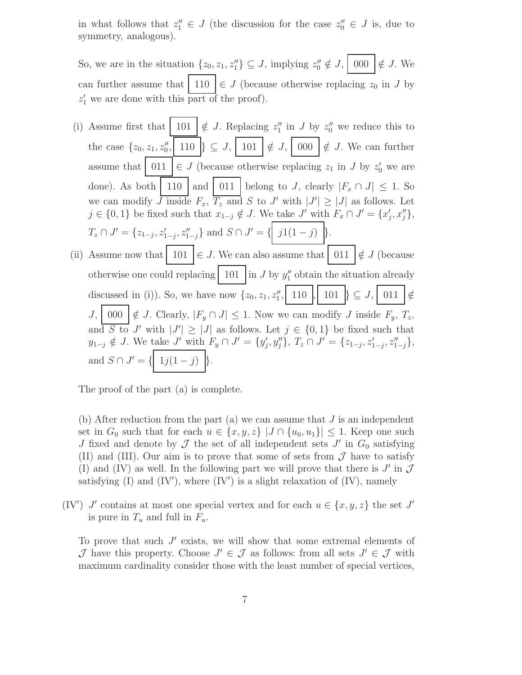in what follows that  $z_1'' \in J$  (the discussion for the case  $z_0'' \in J$  is, due to symmetry, analogous).

So, we are in the situation  $\{z_0, z_1, z_1''\} \subseteq J$ , implying  $z_0'' \notin J$ ,  $\begin{bmatrix} 0.00 \\ 0.00 \end{bmatrix} \notin J$ . We can further assume that  $\mid 110 \mid \in J$  (because otherwise replacing  $z_0$  in J by  $z'_1$  we are done with this part of the proof).

(i) Assume first that  $\mid 101 \mid \notin J$ . Replacing  $z_1''$  in J by  $z_0''$  we reduce this to the case  $\{z_0, z_1, z_0'', \mid 110 \mid \} \subseteq J, \mid 101 \mid \notin J, \mid 000 \mid \notin J$ . We can further assume that  $\begin{array}{c|c} 011 \end{array} \in J$  (because otherwise replacing  $z_1$  in J by  $z'_0$  we are done). As both 110 and 011 belong to J, clearly  $|F_x \cap J| \leq 1$ . So we can modify J inside  $F_x$ ,  $T_z$  and S to J' with  $|J'| \geq |J|$  as follows. Let  $j \in \{0,1\}$  be fixed such that  $x_{1-j} \notin J$ . We take  $J'$  with  $F_x \cap J' = \{x'_j, x''_j\},\$  $T_z \cap J' = \{z_{1-j}, z_{1-j}', z_{1-j}''\}$  and  $S \cap J' = \{ \begin{bmatrix} j1(1-j) \end{bmatrix} \}.$ (ii) Assume now that 101 ∈ J. We can also assume that 011 ∈/ J (because otherwise one could replacing  $\left| \begin{array}{c} 101 \\ 10 \end{array} \right|$  in J by  $y''_1$  obtain the situation already discussed in (i)). So, we have now  $\{z_0, z_1, z_1'', 110 |, 101 | \} \subseteq J, 011 | \notin$  $J, \begin{bmatrix} 000 \\ \hline \end{bmatrix} \notin J$ . Clearly,  $|F_y \cap J| \leq 1$ . Now we can modify  $J$  inside  $F_y, T_z$ , and S to J' with  $|J'| \geq |J|$  as follows. Let  $j \in \{0,1\}$  be fixed such that  $y_{1-j} \notin J$ . We take  $J'$  with  $F_y \cap J' = \{y'_j, y''_j\}$ ,  $T_z \cap J' = \{z_{1-j}, z'_{1-j}, z''_{1-j}\}$ , and  $S \cap J' = \{ \mid 1j(1-j) \mid \}.$ 

The proof of the part (a) is complete.

(b) After reduction from the part (a) we can assume that  $J$  is an independent set in  $G_0$  such that for each  $u \in \{x, y, z\}$   $|J \cap \{u_0, u_1\}| \leq 1$ . Keep one such J fixed and denote by  $\mathcal J$  the set of all independent sets  $J'$  in  $G_0$  satisfying (II) and (III). Our aim is to prove that some of sets from  $\mathcal J$  have to satisfy (I) and (IV) as well. In the following part we will prove that there is  $J'$  in  $\mathcal J$ satisfying (I) and  $(IV')$ , where  $(IV')$  is a slight relaxation of  $(IV)$ , namely

(IV') J' contains at most one special vertex and for each  $u \in \{x, y, z\}$  the set J' is pure in  $T_u$  and full in  $F_u$ .

To prove that such  $J'$  exists, we will show that some extremal elements of  $\mathcal J$  have this property. Choose  $J' \in \mathcal J$  as follows: from all sets  $J' \in \mathcal J$  with maximum cardinality consider those with the least number of special vertices,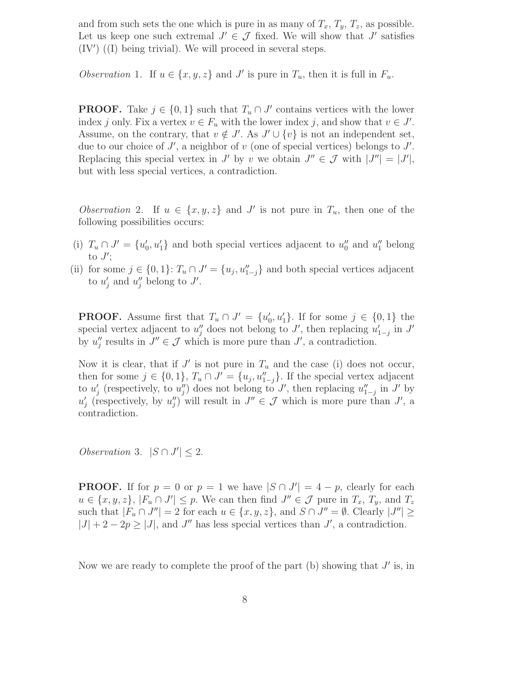and from such sets the one which is pure in as many of  $T_x$ ,  $T_y$ ,  $T_z$ , as possible. Let us keep one such extremal  $J' \in \mathcal{J}$  fixed. We will show that  $J'$  satisfies  $(IV')$   $(I)$  being trivial). We will proceed in several steps.

Observation 1. If  $u \in \{x, y, z\}$  and J' is pure in  $T_u$ , then it is full in  $F_u$ .

**PROOF.** Take  $j \in \{0, 1\}$  such that  $T_u \cap J'$  contains vertices with the lower index j only. Fix a vertex  $v \in F_u$  with the lower index j, and show that  $v \in J'$ . Assume, on the contrary, that  $v \notin J'$ . As  $J' \cup \{v\}$  is not an independent set, due to our choice of  $J'$ , a neighbor of  $v$  (one of special vertices) belongs to  $J'$ . Replacing this special vertex in  $J'$  by  $v$  we obtain  $J'' \in \mathcal{J}$  with  $|J''| = |J'|$ , but with less special vertices, a contradiction.

Observation 2. If  $u \in \{x, y, z\}$  and J' is not pure in  $T_u$ , then one of the following possibilities occurs:

- (i)  $T_u \cap J' = \{u'_0, u'_1\}$  and both special vertices adjacent to  $u''_0$  and  $u''_1$  belong to  $J^{\prime};$
- (ii) for some  $j \in \{0,1\}$ :  $T_u \cap J' = \{u_j, u''_{1-j}\}$  and both special vertices adjacent to  $u'_j$  and  $u''_j$  belong to J'.

**PROOF.** Assume first that  $T_u \cap J' = \{u'_0, u'_1\}$ . If for some  $j \in \{0, 1\}$  the special vertex adjacent to  $u''_j$  does not belong to  $J'$ , then replacing  $u'_{1-j}$  in  $J'$ by  $u''_j$  results in  $J'' \in \mathcal{J}$  which is more pure than  $J'$ , a contradiction.

Now it is clear, that if  $J'$  is not pure in  $T_u$  and the case (i) does not occur, then for some  $j \in \{0,1\}$ ,  $T_u \cap J' = \{u_j, u''_{1-j}\}$ . If the special vertex adjacent to  $u'_{j}$  (respectively, to  $u''_{j}$ ) does not belong to J', then replacing  $u''_{1-j}$  in J' by  $u'_{j}$  (respectively, by  $u''_{j}$ ) will result in  $J'' \in \mathcal{J}$  which is more pure than  $J'$ , a contradiction.

Observation 3.  $|S \cap J'| \leq 2$ .

**PROOF.** If for  $p = 0$  or  $p = 1$  we have  $|S \cap J'| = 4 - p$ , clearly for each  $u \in \{x, y, z\}, |F_u \cap J'| \leq p$ . We can then find  $J'' \in \mathcal{J}$  pure in  $T_x, T_y$ , and  $T_z$ such that  $|F_u \cap J''| = 2$  for each  $u \in \{x, y, z\}$ , and  $S \cap J'' = \emptyset$ . Clearly  $|J''| \ge$  $|J| + 2 - 2p \ge |J|$ , and J'' has less special vertices than J', a contradiction.

Now we are ready to complete the proof of the part (b) showing that  $J'$  is, in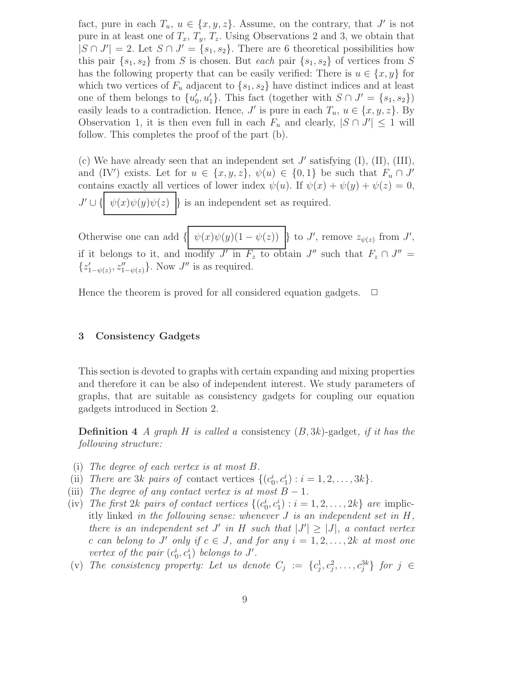fact, pure in each  $T_u$ ,  $u \in \{x, y, z\}$ . Assume, on the contrary, that  $J'$  is not pure in at least one of  $T_x$ ,  $T_y$ ,  $T_z$ . Using Observations 2 and 3, we obtain that  $|S \cap J'| = 2$ . Let  $S \cap J' = \{s_1, s_2\}$ . There are 6 theoretical possibilities how this pair  $\{s_1, s_2\}$  from S is chosen. But each pair  $\{s_1, s_2\}$  of vertices from S has the following property that can be easily verified: There is  $u \in \{x, y\}$  for which two vertices of  $F_u$  adjacent to  $\{s_1, s_2\}$  have distinct indices and at least one of them belongs to  $\{u'_0, u'_1\}$ . This fact (together with  $S \cap J' = \{s_1, s_2\}$ ) easily leads to a contradiction. Hence,  $J'$  is pure in each  $T_u$ ,  $u \in \{x, y, z\}$ . By Observation 1, it is then even full in each  $F_u$  and clearly,  $|S \cap J'| \leq 1$  will follow. This completes the proof of the part (b).

(c) We have already seen that an independent set  $J'$  satisfying  $(I)$ ,  $(II)$ ,  $(III)$ , and (IV') exists. Let for  $u \in \{x, y, z\}$ ,  $\psi(u) \in \{0, 1\}$  be such that  $F_u \cap J'$ contains exactly all vertices of lower index  $\psi(u)$ . If  $\psi(x) + \psi(y) + \psi(z) = 0$ ,  $J' \cup \{ \mid \psi(x)\psi(y)\psi(z) \mid \}$  is an independent set as required.

Otherwise one can add  $\{ \psi(x)\psi(y)(1-\psi(z)) \}$  to J', remove  $z_{\psi(z)}$  from J', if it belongs to it, and modify  $J'$  in  $F_z$  to obtain  $J''$  such that  $F_z \cap J'' =$  $\{z'_{1-\psi(z)}, z''_{1-\psi(z)}\}$ . Now  $J''$  is as required.

Hence the theorem is proved for all considered equation gadgets.  $\Box$ 

#### 3 Consistency Gadgets

This section is devoted to graphs with certain expanding and mixing properties and therefore it can be also of independent interest. We study parameters of graphs, that are suitable as consistency gadgets for coupling our equation gadgets introduced in Section 2.

**Definition 4** A graph H is called a consistency  $(B, 3k)$ -gadget, if it has the following structure:

- (i) The degree of each vertex is at most B.
- (ii) There are 3k pairs of contact vertices  $\{(c_0^i, c_1^i) : i = 1, 2, \ldots, 3k\}.$
- (iii) The degree of any contact vertex is at most  $B-1$ .
- (iv) The first 2k pairs of contact vertices  $\{(c_0^i, c_1^i) : i = 1, 2, ..., 2k\}$  are implicitly linked in the following sense: whenever  $J$  is an independent set in  $H$ , there is an independent set  $J'$  in  $H$  such that  $|J'| \geq |J|$ , a contact vertex c can belong to J' only if  $c \in J$ , and for any  $i = 1, 2, ..., 2k$  at most one vertex of the pair  $(c_0^i, c_1^i)$  belongs to J'.
- (v) The consistency property: Let us denote  $C_j := \{c_j^1, c_j^2, \ldots, c_j^{3k}\}\$  for  $j \in$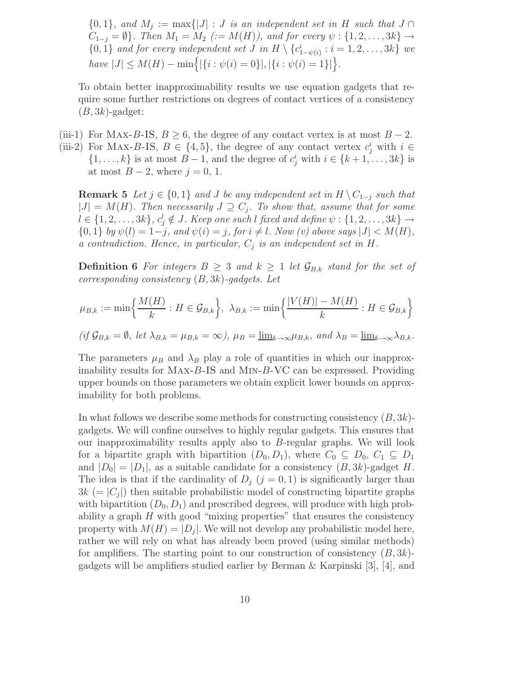$\{0,1\}$ , and  $M_j := \max\{|J| : J$  is an independent set in H such that  $J \cap$  $C_{1-j} = \emptyset$ . Then  $M_1 = M_2$  (:=  $M(H)$ ), and for every  $\psi : \{1, 2, \ldots, 3k\} \rightarrow$  $\{0,1\}$  and for every independent set J in  $H \setminus \{c_{1-\psi(i)}^i : i = 1,2,\ldots,3k\}$  we  $have |J| \leq M(H) - \min\Big\{|\{i : \psi(i) = 0\}|, |\{i : \psi(i) = 1\}|\Big\}.$ 

To obtain better inapproximability results we use equation gadgets that require some further restrictions on degrees of contact vertices of a consistency  $(B, 3k)$ -gadget:

(iii-1) For MAX-B-IS,  $B \geq 6$ , the degree of any contact vertex is at most  $B - 2$ .

(iii-2) For MAX-B-IS,  $B \in \{4, 5\}$ , the degree of any contact vertex  $c_j^i$  with  $i \in$  $\{1, \ldots, k\}$  is at most  $B - 1$ , and the degree of  $c_j^i$  with  $i \in \{k+1, \ldots, 3k\}$  is at most  $B-2$ , where  $j=0, 1$ .

**Remark 5** Let  $j \in \{0, 1\}$  and J be any independent set in  $H \setminus C_{1-j}$  such that  $|J| = M(H)$ . Then necessarily  $J \supseteq C_j$ . To show that, assume that for some  $l \in \{1, 2, \ldots, 3k\}, c_j^l \notin J$ . Keep one such l fixed and define  $\psi: \{1, 2, \ldots, 3k\} \rightarrow$  $\{0,1\}$  by  $\psi(l) = 1-j$ , and  $\psi(i) = j$ , for  $i \neq l$ . Now (v) above says  $|J| < M(H)$ , a contradiction. Hence, in particular,  $C_j$  is an independent set in H.

**Definition 6** For integers  $B \geq 3$  and  $k \geq 1$  let  $\mathcal{G}_{B,k}$  stand for the set of corresponding consistency  $(B, 3k)$ -gadgets. Let

$$
\mu_{B,k} := \min\left\{\frac{M(H)}{k} : H \in \mathcal{G}_{B,k}\right\}, \ \lambda_{B,k} := \min\left\{\frac{|V(H)| - M(H)}{k} : H \in \mathcal{G}_{B,k}\right\}
$$

$$
(if\,\mathcal{G}_{B,k}=\emptyset,\,let\,\lambda_{B,k}=\mu_{B,k}=\infty),\,\mu_B=\underline{\lim}_{k\to\infty}\mu_{B,k},\,\,and\,\,\lambda_B=\underline{\lim}_{k\to\infty}\lambda_{B,k}.
$$

The parameters  $\mu_B$  and  $\lambda_B$  play a role of quantities in which our inapproximability results for Max-B-IS and Min-B-VC can be expressed. Providing upper bounds on those parameters we obtain explicit lower bounds on approximability for both problems.

In what follows we describe some methods for constructing consistency  $(B, 3k)$ gadgets. We will confine ourselves to highly regular gadgets. This ensures that our inapproximability results apply also to B-regular graphs. We will look for a bipartite graph with bipartition  $(D_0, D_1)$ , where  $C_0 \subseteq D_0$ ,  $C_1 \subseteq D_1$ and  $|D_0| = |D_1|$ , as a suitable candidate for a consistency  $(B, 3k)$ -gadget H. The idea is that if the cardinality of  $D_j$   $(j = 0, 1)$  is significantly larger than  $3k (= |C_j|)$  then suitable probabilistic model of constructing bipartite graphs with bipartition  $(D_0, D_1)$  and prescribed degrees, will produce with high probability a graph  $H$  with good "mixing properties" that ensures the consistency property with  $M(H) = |D_j|$ . We will not develop any probabilistic model here, rather we will rely on what has already been proved (using similar methods) for amplifiers. The starting point to our construction of consistency  $(B, 3k)$ gadgets will be amplifiers studied earlier by Berman & Karpinski [3], [4], and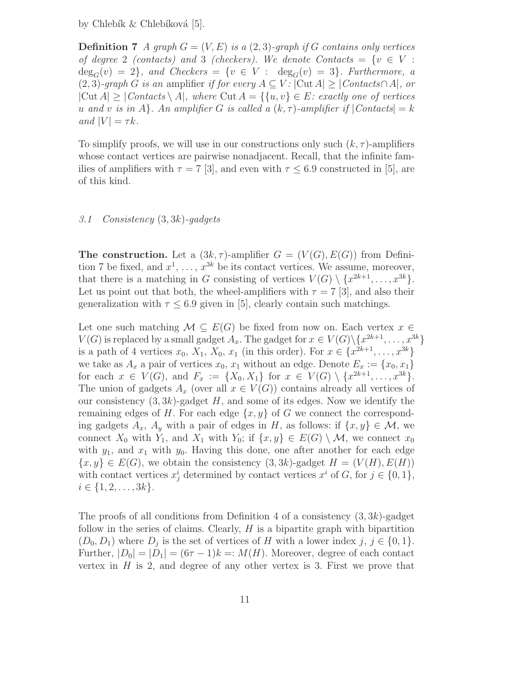by Chlebík  $&$  Chlebíková [5].

**Definition 7** A graph  $G = (V, E)$  is a  $(2, 3)$ -graph if G contains only vertices of degree 2 (contacts) and 3 (checkers). We denote Contacts =  $\{v \in V :$  $deg_G(v) = 2$ , and Checkers =  $\{v \in V : deg_G(v) = 3\}$ . Furthermore, a (2, 3)-graph G is an amplifier if for every  $A \subseteq V$ :  $|\text{Cut } A| \geq |\text{Contents} \cap A|$ , or  $|\text{Cut } A| \geq |\text{Contents} \setminus A|$ , where  $\text{Cut } A = \{\{u, v\} \in E: \text{ exactly one of vertices}\}\$ u and v is in A. An amplifier G is called a  $(k, \tau)$ -amplifier if  $|Contents| = k$ and  $|V| = \tau k$ .

To simplify proofs, we will use in our constructions only such  $(k, \tau)$ -amplifiers whose contact vertices are pairwise nonadjacent. Recall, that the infinite families of amplifiers with  $\tau = 7$  [3], and even with  $\tau \leq 6.9$  constructed in [5], are of this kind.

#### 3.1 Consistency (3, 3k)-gadgets

**The construction.** Let a  $(3k, \tau)$ -amplifier  $G = (V(G), E(G))$  from Definition 7 be fixed, and  $x^1, \ldots, x^{3k}$  be its contact vertices. We assume, moreover, that there is a matching in G consisting of vertices  $V(G) \setminus \{x^{2k+1}, \ldots, x^{3k}\}.$ Let us point out that both, the wheel-amplifiers with  $\tau = 7$  [3], and also their generalization with  $\tau \leq 6.9$  given in [5], clearly contain such matchings.

Let one such matching  $\mathcal{M} \subseteq E(G)$  be fixed from now on. Each vertex  $x \in$  $V(G)$  is replaced by a small gadget  $A_x$ . The gadget for  $x \in V(G) \setminus \{x^{2k+1}, \ldots, x^{3k}\}\$ is a path of 4 vertices  $x_0, X_1, X_0, x_1$  (in this order). For  $x \in \{x^{2k+1}, \ldots, x^{3k}\}\$ we take as  $A_x$  a pair of vertices  $x_0, x_1$  without an edge. Denote  $E_x := \{x_0, x_1\}$ for each  $x \in V(G)$ , and  $F_x := \{X_0, X_1\}$  for  $x \in V(G) \setminus \{x^{2k+1}, \ldots, x^{3k}\}.$ The union of gadgets  $A_x$  (over all  $x \in V(G)$ ) contains already all vertices of our consistency  $(3, 3k)$ -gadget H, and some of its edges. Now we identify the remaining edges of H. For each edge  $\{x, y\}$  of G we connect the corresponding gadgets  $A_x$ ,  $A_y$  with a pair of edges in H, as follows: if  $\{x, y\} \in \mathcal{M}$ , we connect  $X_0$  with  $Y_1$ , and  $X_1$  with  $Y_0$ ; if  $\{x, y\} \in E(G) \setminus M$ , we connect  $x_0$ with  $y_1$ , and  $x_1$  with  $y_0$ . Having this done, one after another for each edge  $\{x, y\} \in E(G)$ , we obtain the consistency  $(3, 3k)$ -gadget  $H = (V(H), E(H))$ with contact vertices  $x_j^i$  determined by contact vertices  $x^i$  of  $G$ , for  $j \in \{0, 1\}$ ,  $i \in \{1, 2, \ldots, 3k\}.$ 

The proofs of all conditions from Definition 4 of a consistency  $(3, 3k)$ -gadget follow in the series of claims. Clearly,  $H$  is a bipartite graph with bipartition  $(D_0, D_1)$  where  $D_j$  is the set of vertices of H with a lower index j,  $j \in \{0, 1\}$ . Further,  $|D_0| = |D_1| = (6\tau - 1)k =: M(H)$ . Moreover, degree of each contact vertex in  $H$  is 2, and degree of any other vertex is 3. First we prove that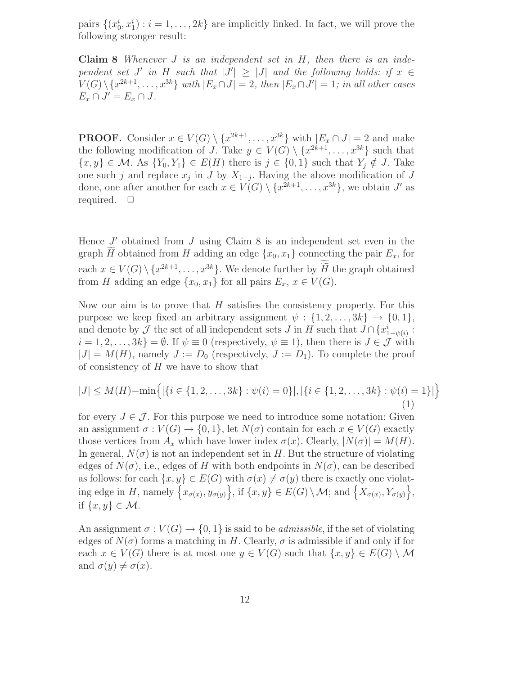pairs  $\{(x_0^i, x_1^i) : i = 1, \ldots, 2k\}$  are implicitly linked. In fact, we will prove the following stronger result:

**Claim 8** Whenever  $J$  is an independent set in  $H$ , then there is an independent set J' in H such that  $|J'| \geq |J|$  and the following holds: if  $x \in$  $V(G) \setminus \{x^{2k+1}, \ldots, x^{3k}\}$  with  $|E_x \cap J| = 2$ , then  $|E_x \cap J'| = 1$ ; in all other cases  $E_x \cap J' = E_x \cap J$ .

**PROOF.** Consider  $x \in V(G) \setminus \{x^{2k+1}, \ldots, x^{3k}\}\$  with  $|E_x \cap J| = 2$  and make the following modification of J. Take  $y \in V(G) \setminus \{x^{2k+1}, \ldots, x^{3k}\}\)$  such that  $\{x, y\} \in \mathcal{M}$ . As  $\{Y_0, Y_1\} \in E(H)$  there is  $j \in \{0, 1\}$  such that  $Y_j \notin J$ . Take one such j and replace  $x_j$  in J by  $X_{1-j}$ . Having the above modification of J done, one after another for each  $x \in V(G) \setminus \{x^{2k+1}, \ldots, x^{3k}\},\$  we obtain J' as required.  $\Box$ 

Hence  $J'$  obtained from  $J$  using Claim 8 is an independent set even in the graph  $\widetilde{H}$  obtained from H adding an edge  $\{x_0, x_1\}$  connecting the pair  $E_x$ , for each  $x \in V(G) \setminus \{x^{2k+1}, \ldots, x^{3k}\}\.$  We denote further by  $H$  the graph obtained from H adding an edge  $\{x_0, x_1\}$  for all pairs  $E_x, x \in V(G)$ .

Now our aim is to prove that  $H$  satisfies the consistency property. For this purpose we keep fixed an arbitrary assignment  $\psi : \{1, 2, \ldots, 3k\} \rightarrow \{0, 1\},\$ and denote by  $\mathcal J$  the set of all independent sets  $J$  in  $H$  such that  $J \cap \{x_{1-\psi(i)}^i :$  $i = 1, 2, \ldots, 3k$  =  $\emptyset$ . If  $\psi \equiv 0$  (respectively,  $\psi \equiv 1$ ), then there is  $J \in \mathcal{J}$  with  $|J| = M(H)$ , namely  $J := D_0$  (respectively,  $J := D_1$ ). To complete the proof of consistency of  $H$  we have to show that

$$
|J| \le M(H) - \min\left\{ |\{i \in \{1, 2, \dots, 3k\} : \psi(i) = 0\}|, |\{i \in \{1, 2, \dots, 3k\} : \psi(i) = 1\}| \right\}
$$
\n(1)

for every  $J \in \mathcal{J}$ . For this purpose we need to introduce some notation: Given an assignment  $\sigma: V(G) \to \{0,1\}$ , let  $N(\sigma)$  contain for each  $x \in V(G)$  exactly those vertices from  $A_x$  which have lower index  $\sigma(x)$ . Clearly,  $|N(\sigma)| = M(H)$ . In general,  $N(\sigma)$  is not an independent set in H. But the structure of violating edges of  $N(\sigma)$ , i.e., edges of H with both endpoints in  $N(\sigma)$ , can be described as follows: for each  $\{x, y\} \in E(G)$  with  $\sigma(x) \neq \sigma(y)$  there is exactly one violating edge in H, namely  $\left\{x_{\sigma(x)}, y_{\sigma(y)}\right\}$ , if  $\{x, y\} \in E(G) \setminus \mathcal{M}$ ; and  $\left\{X_{\sigma(x)}, Y_{\sigma(y)}\right\}$ , if  $\{x, y\} \in \mathcal{M}$ .

An assignment  $\sigma: V(G) \to \{0,1\}$  is said to be *admissible*, if the set of violating edges of  $N(\sigma)$  forms a matching in H. Clearly,  $\sigma$  is admissible if and only if for each  $x \in V(G)$  there is at most one  $y \in V(G)$  such that  $\{x, y\} \in E(G) \setminus \mathcal{M}$ and  $\sigma(y) \neq \sigma(x)$ .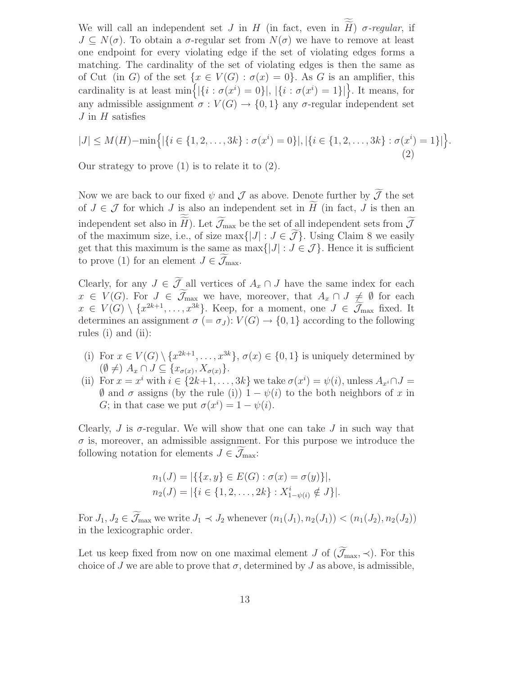We will call an independent set  $J$  in  $H$  (in fact, even in  $H$ )  $\sigma$ -regular, if  $J \subseteq N(\sigma)$ . To obtain a  $\sigma$ -regular set from  $N(\sigma)$  we have to remove at least one endpoint for every violating edge if the set of violating edges forms a matching. The cardinality of the set of violating edges is then the same as of Cut (in G) of the set  $\{x \in V(G) : \sigma(x) = 0\}$ . As G is an amplifier, this cardinality is at least  $\min\{|{i : \sigma(x^i) = 0}\|, |{i : \sigma(x^i) = 1}\|\}$ . It means, for any admissible assignment  $\sigma: V(G) \to \{0,1\}$  any  $\sigma$ -regular independent set  $J$  in  $H$  satisfies

$$
|J| \le M(H) - \min\left\{ |\{i \in \{1, 2, \dots, 3k\} : \sigma(x^i) = 0\}|, |\{i \in \{1, 2, \dots, 3k\} : \sigma(x^i) = 1\}| \right\}
$$
\n(2)

.

Our strategy to prove  $(1)$  is to relate it to  $(2)$ .

Now we are back to our fixed  $\psi$  and  $\mathcal J$  as above. Denote further by  $\widetilde{\mathcal J}$  the set of  $J \in \mathcal{J}$  for which J is also an independent set in  $H$  (in fact, J is then an independent set also in H). Let  $\mathcal{J}_{\text{max}}$  be the set of all independent sets from  $\mathcal{J}$ of the maximum size, i.e., of size max $\{|J| : J \in \tilde{J}\}\$ . Using Claim 8 we easily get that this maximum is the same as  $\max\{|J| : J \in \mathcal{J}\}\.$  Hence it is sufficient to prove (1) for an element  $J \in \mathcal{J}_{\text{max}}$ .

Clearly, for any  $J \in \widetilde{\mathcal{J}}$  all vertices of  $A_x \cap J$  have the same index for each  $x \in V(G)$ . For  $J \in \widetilde{\mathcal{J}}_{\text{max}}$  we have, moreover, that  $A_x \cap J \neq \emptyset$  for each  $x \in V(G) \setminus \{x^{2k+1}, \ldots, x^{3k}\}.$  Keep, for a moment, one  $J \in \mathcal{J}_{\text{max}}$  fixed. It determines an assignment  $\sigma (= \sigma_J)$ :  $V(G) \rightarrow \{0, 1\}$  according to the following rules (i) and (ii):

- (i) For  $x \in V(G) \setminus \{x^{2k+1}, \ldots, x^{3k}\}, \sigma(x) \in \{0, 1\}$  is uniquely determined by  $(\emptyset \neq)$   $A_x \cap J \subseteq \{x_{\sigma(x)}, X_{\sigma(x)}\}.$
- (ii) For  $x = x^i$  with  $i \in \{2k+1, \ldots, 3k\}$  we take  $\sigma(x^i) = \psi(i)$ , unless  $A_{x^i} \cap J =$  $\emptyset$  and  $\sigma$  assigns (by the rule (i))  $1 - \psi(i)$  to the both neighbors of x in G; in that case we put  $\sigma(x^i) = 1 - \psi(i)$ .

Clearly, J is  $\sigma$ -regular. We will show that one can take J in such way that  $\sigma$  is, moreover, an admissible assignment. For this purpose we introduce the following notation for elements  $J \in \mathcal{J}_{\text{max}}$ :

$$
n_1(J) = |\{\{x, y\} \in E(G) : \sigma(x) = \sigma(y)\}|,
$$
  
\n
$$
n_2(J) = |\{i \in \{1, 2, ..., 2k\} : X_{1-\psi(i)}^i \notin J\}|.
$$

For  $J_1, J_2 \in \widetilde{\mathcal{J}}_{\max}$  we write  $J_1 \prec J_2$  whenever  $(n_1(J_1), n_2(J_1)) \prec (n_1(J_2), n_2(J_2))$ in the lexicographic order.

Let us keep fixed from now on one maximal element J of  $(\mathcal{J}_{\text{max}}, \prec)$ . For this choice of J we are able to prove that  $\sigma$ , determined by J as above, is admissible,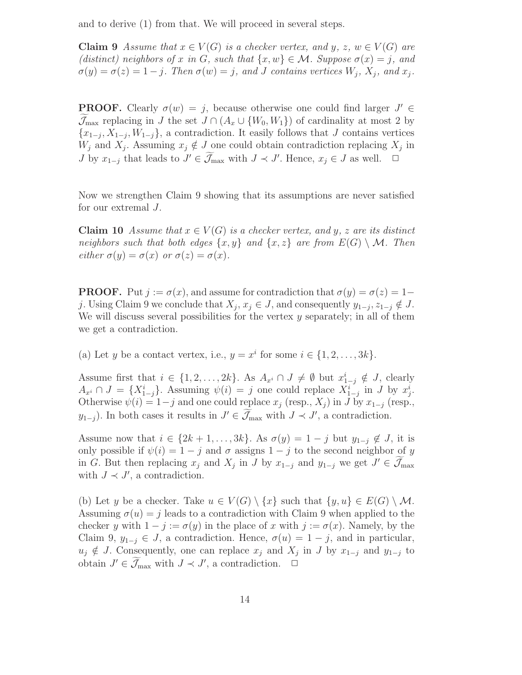and to derive (1) from that. We will proceed in several steps.

**Claim 9** Assume that  $x \in V(G)$  is a checker vertex, and y, z,  $w \in V(G)$  are (distinct) neighbors of x in G, such that  $\{x, w\} \in \mathcal{M}$ . Suppose  $\sigma(x) = j$ , and  $\sigma(y) = \sigma(z) = 1 - j$ . Then  $\sigma(w) = j$ , and J contains vertices  $W_j$ ,  $X_j$ , and  $x_j$ .

**PROOF.** Clearly  $\sigma(w) = j$ , because otherwise one could find larger  $J' \in$  $\mathcal{J}_{\text{max}}$  replacing in J the set  $J \cap (A_x \cup \{W_0, W_1\})$  of cardinality at most 2 by  $\{x_{1-j}, X_{1-j}, W_{1-j}\}$ , a contradiction. It easily follows that J contains vertices  $W_j$  and  $X_j$ . Assuming  $x_j \notin J$  one could obtain contradiction replacing  $X_j$  in J by  $x_{1-j}$  that leads to  $J' \in \widetilde{\mathcal{J}}_{\text{max}}$  with  $J \prec J'$ . Hence,  $x_j \in J$  as well.  $\Box$ 

Now we strengthen Claim 9 showing that its assumptions are never satisfied for our extremal J.

Claim 10 Assume that  $x \in V(G)$  is a checker vertex, and y, z are its distinct neighbors such that both edges  $\{x, y\}$  and  $\{x, z\}$  are from  $E(G) \setminus M$ . Then either  $\sigma(y) = \sigma(x)$  or  $\sigma(z) = \sigma(x)$ .

**PROOF.** Put  $j := \sigma(x)$ , and assume for contradiction that  $\sigma(y) = \sigma(z) = 1$ j. Using Claim 9 we conclude that  $X_j$ ,  $x_j \in J$ , and consequently  $y_{1-j}, z_{1-j} \notin J$ . We will discuss several possibilities for the vertex  $y$  separately; in all of them we get a contradiction.

(a) Let y be a contact vertex, i.e.,  $y = x^i$  for some  $i \in \{1, 2, ..., 3k\}$ .

Assume first that  $i \in \{1, 2, ..., 2k\}$ . As  $A_{x_i} \cap J \neq \emptyset$  but  $x_{i-j}^i \notin J$ , clearly  $A_{x_i} \cap J = \{X_{1-j}^i\}$ . Assuming  $\psi(i) = j$  one could replace  $X_{1-j}^i$  in J by  $x_j^i$ . Otherwise  $\psi(i) = 1-j$  and one could replace  $x_j$  (resp.,  $X_j$ ) in J by  $x_{1-j}$  (resp.,  $y_{1-j}$ ). In both cases it results in  $J' \in \mathcal{J}_{\max}$  with  $J \prec J'$ , a contradiction.

Assume now that  $i \in \{2k+1,\ldots,3k\}$ . As  $\sigma(y) = 1 - j$  but  $y_{1-i} \notin J$ , it is only possible if  $\psi(i) = 1 - i$  and  $\sigma$  assigns  $1 - i$  to the second neighbor of y in G. But then replacing  $x_j$  and  $X_j$  in J by  $x_{1-j}$  and  $y_{1-j}$  we get  $J' \in \mathcal{J}_{\text{max}}$ with  $J \prec J'$ , a contradiction.

(b) Let y be a checker. Take  $u \in V(G) \setminus \{x\}$  such that  $\{y, u\} \in E(G) \setminus \mathcal{M}$ . Assuming  $\sigma(u) = j$  leads to a contradiction with Claim 9 when applied to the checker y with  $1 - j := \sigma(y)$  in the place of x with  $j := \sigma(x)$ . Namely, by the Claim 9,  $y_{1-j} \in J$ , a contradiction. Hence,  $\sigma(u) = 1 - j$ , and in particular,  $u_j \notin J$ . Consequently, one can replace  $x_j$  and  $X_j$  in J by  $x_{1-j}$  and  $y_{1-j}$  to obtain  $J' \in \widetilde{\mathcal{J}}_{\text{max}}$  with  $J \prec J'$ , a contradiction.  $\Box$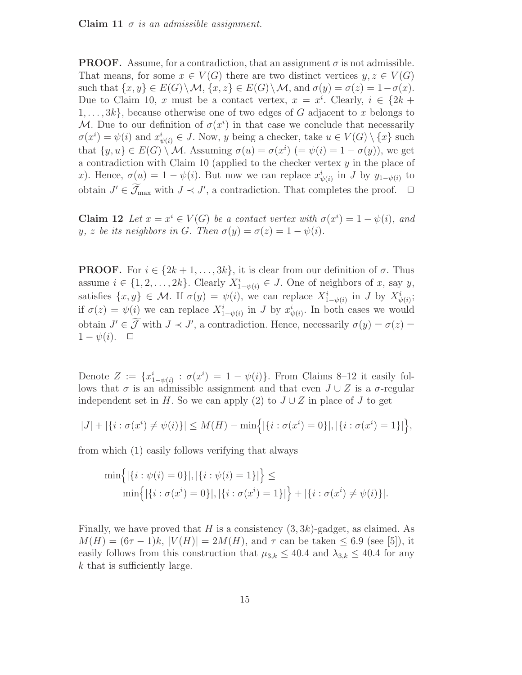Claim 11  $\sigma$  is an admissible assignment.

**PROOF.** Assume, for a contradiction, that an assignment  $\sigma$  is not admissible. That means, for some  $x \in V(G)$  there are two distinct vertices  $y, z \in V(G)$ such that  $\{x, y\} \in E(G) \setminus \mathcal{M}, \{x, z\} \in E(G) \setminus \mathcal{M}, \text{ and } \sigma(y) = \sigma(z) = 1 - \sigma(x).$ Due to Claim 10, x must be a contact vertex,  $x = x^i$ . Clearly,  $i \in \{2k +$  $1, \ldots, 3k$ , because otherwise one of two edges of G adjacent to x belongs to M. Due to our definition of  $\sigma(x^i)$  in that case we conclude that necessarily  $\sigma(x^i) = \psi(i)$  and  $x^i_{\psi(i)} \in J$ . Now, y being a checker, take  $u \in V(G) \setminus \{x\}$  such that  $\{y, u\} \in E(G) \setminus \mathcal{M}$ . Assuming  $\sigma(u) = \sigma(x^i)$   $(=\psi(i) = 1 - \sigma(y))$ , we get a contradiction with Claim 10 (applied to the checker vertex  $y$  in the place of x). Hence,  $\sigma(u) = 1 - \psi(i)$ . But now we can replace  $x_{\psi(i)}^i$  in J by  $y_{1-\psi(i)}$  to obtain  $J' \in \widetilde{\mathcal{J}}_{\text{max}}$  with  $J \prec J'$ , a contradiction. That completes the proof.  $\Box$ 

**Claim 12** Let  $x = x^i \in V(G)$  be a contact vertex with  $\sigma(x^i) = 1 - \psi(i)$ , and y, z be its neighbors in G. Then  $\sigma(y) = \sigma(z) = 1 - \psi(i)$ .

**PROOF.** For  $i \in \{2k+1,\ldots,3k\}$ , it is clear from our definition of  $\sigma$ . Thus assume  $i \in \{1, 2, ..., 2k\}$ . Clearly  $X_{1-\psi(i)}^i \in J$ . One of neighbors of x, say y, satisfies  $\{x, y\} \in \mathcal{M}$ . If  $\sigma(y) = \psi(i)$ , we can replace  $X_{1-\psi(i)}^i$  in J by  $X_{\psi(i)}^i$ ; if  $\sigma(z) = \psi(i)$  we can replace  $X_{1-\psi(i)}^i$  in J by  $x_{\psi(i)}^i$ . In both cases we would obtain  $J' \in \mathcal{J}$  with  $J \prec J'$ , a contradiction. Hence, necessarily  $\sigma(y) = \sigma(z)$  $1 - \psi(i)$ .  $\Box$ 

Denote  $Z := \{x_{1-\psi(i)}^i : \sigma(x^i) = 1 - \psi(i)\}\.$  From Claims 8–12 it easily follows that  $\sigma$  is an admissible assignment and that even  $J \cup Z$  is a  $\sigma$ -regular independent set in H. So we can apply (2) to  $J \cup Z$  in place of J to get

$$
|J| + |\{i : \sigma(x^i) \neq \psi(i)\}| \leq M(H) - \min\{| \{i : \sigma(x^i) = 0\}|, |\{i : \sigma(x^i) = 1\}| \},\
$$

from which (1) easily follows verifying that always

$$
\min\{|i:\psi(i) = 0\}|, |\{i:\psi(i) = 1\}|\} \le \min\{|i:\sigma(x^i) = 0\}|, |\{i:\sigma(x^i) = 1\}|\} + |\{i:\sigma(x^i) \neq \psi(i)\}|.
$$

Finally, we have proved that H is a consistency  $(3, 3k)$ -gadget, as claimed. As  $M(H) = (6\tau - 1)k$ ,  $|V(H)| = 2M(H)$ , and  $\tau$  can be taken  $\leq 6.9$  (see [5]), it easily follows from this construction that  $\mu_{3,k} \leq 40.4$  and  $\lambda_{3,k} \leq 40.4$  for any k that is sufficiently large.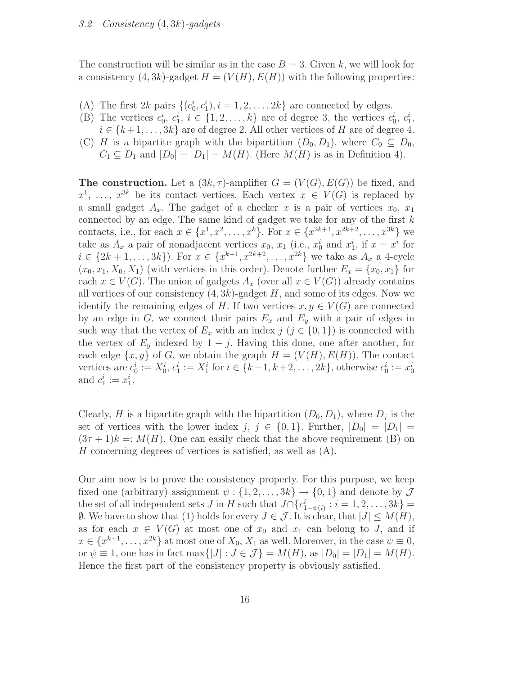The construction will be similar as in the case  $B = 3$ . Given k, we will look for a consistency  $(4, 3k)$ -gadget  $H = (V(H), E(H))$  with the following properties:

- (A) The first 2k pairs  $\{(c_0^i, c_1^i), i = 1, 2, \ldots, 2k\}$  are connected by edges.
- (B) The vertices  $c_0^i, c_1^i, i \in \{1, 2, ..., k\}$  are of degree 3, the vertices  $c_0^i, c_1^i$ ,  $i \in \{k+1,\ldots,3k\}$  are of degree 2. All other vertices of H are of degree 4.
- (C) H is a bipartite graph with the bipartition  $(D_0, D_1)$ , where  $C_0 \subseteq D_0$ ,  $C_1 \subseteq D_1$  and  $|D_0| = |D_1| = M(H)$ . (Here  $M(H)$  is as in Definition 4).

**The construction.** Let a  $(3k, \tau)$ -amplifier  $G = (V(G), E(G))$  be fixed, and  $x^1, \ldots, x^{3k}$  be its contact vertices. Each vertex  $x \in V(G)$  is replaced by a small gadget  $A_x$ . The gadget of a checker x is a pair of vertices  $x_0, x_1$ connected by an edge. The same kind of gadget we take for any of the first  $k$ contacts, i.e., for each  $x \in \{x^1, x^2, \ldots, x^k\}$ . For  $x \in \{x^{2k+1}, x^{2k+2}, \ldots, x^{3k}\}$  we take as  $A_x$  a pair of nonadjacent vertices  $x_0$ ,  $x_1$  (i.e.,  $x_0^i$  and  $x_1^i$ , if  $x = x^i$  for  $i \in \{2k+1, \ldots, 3k\}$ . For  $x \in \{x^{k+1}, x^{2k+2}, \ldots, x^{2k}\}$  we take as  $A_x$  a 4-cycle  $(x_0, x_1, X_0, X_1)$  (with vertices in this order). Denote further  $E_x = \{x_0, x_1\}$  for each  $x \in V(G)$ . The union of gadgets  $A_x$  (over all  $x \in V(G)$ ) already contains all vertices of our consistency  $(4, 3k)$ -gadget H, and some of its edges. Now we identify the remaining edges of H. If two vertices  $x, y \in V(G)$  are connected by an edge in  $G$ , we connect their pairs  $E_x$  and  $E_y$  with a pair of edges in such way that the vertex of  $E_x$  with an index  $j$   $(j \in \{0, 1\})$  is connected with the vertex of  $E_y$  indexed by  $1 - j$ . Having this done, one after another, for each edge  $\{x, y\}$  of G, we obtain the graph  $H = (V(H), E(H))$ . The contact vertices are  $c_0^i := X_0^i$ ,  $c_1^i := X_1^i$  for  $i \in \{k+1, k+2, ..., 2k\}$ , otherwise  $c_0^i := x_0^i$ and  $c_1^i := x_1^i$ .

Clearly, H is a bipartite graph with the bipartition  $(D_0, D_1)$ , where  $D_j$  is the set of vertices with the lower index  $j, j \in \{0,1\}$ . Further,  $|D_0| = |D_1|$  $(3\tau + 1)k =: M(H)$ . One can easily check that the above requirement (B) on H concerning degrees of vertices is satisfied, as well as  $(A)$ .

Our aim now is to prove the consistency property. For this purpose, we keep fixed one (arbitrary) assignment  $\psi: \{1, 2, ..., 3k\} \rightarrow \{0, 1\}$  and denote by  $\mathcal J$ the set of all independent sets  $J$  in  $H$  such that  $J\cap \{c_{1-\psi(i)}^i : i = 1, 2, \ldots, 3k\} =$  $\emptyset$ . We have to show that (1) holds for every  $J \in \mathcal{J}$ . It is clear, that  $|J| \leq M(H)$ , as for each  $x \in V(G)$  at most one of  $x_0$  and  $x_1$  can belong to J, and if  $x \in \{x^{k+1}, \ldots, x^{2k}\}\$ at most one of  $X_0, X_1$  as well. Moreover, in the case  $\psi \equiv 0$ , or  $\psi \equiv 1$ , one has in fact max $\{|J| : J \in \mathcal{J}\} = M(H)$ , as  $|D_0| = |D_1| = M(H)$ . Hence the first part of the consistency property is obviously satisfied.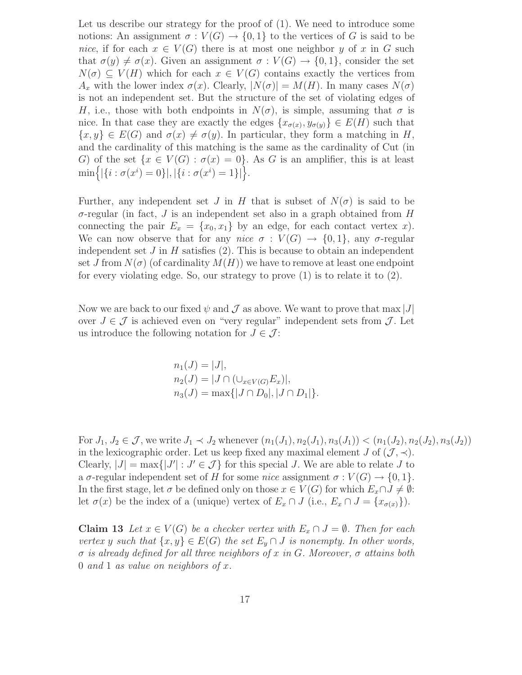Let us describe our strategy for the proof of  $(1)$ . We need to introduce some notions: An assignment  $\sigma: V(G) \to \{0,1\}$  to the vertices of G is said to be nice, if for each  $x \in V(G)$  there is at most one neighbor y of x in G such that  $\sigma(y) \neq \sigma(x)$ . Given an assignment  $\sigma : V(G) \to \{0,1\}$ , consider the set  $N(\sigma) \subseteq V(H)$  which for each  $x \in V(G)$  contains exactly the vertices from  $A_x$  with the lower index  $\sigma(x)$ . Clearly,  $|N(\sigma)| = M(H)$ . In many cases  $N(\sigma)$ is not an independent set. But the structure of the set of violating edges of H, i.e., those with both endpoints in  $N(\sigma)$ , is simple, assuming that  $\sigma$  is nice. In that case they are exactly the edges  $\{x_{\sigma(x)}, y_{\sigma(y)}\} \in E(H)$  such that  $\{x, y\} \in E(G)$  and  $\sigma(x) \neq \sigma(y)$ . In particular, they form a matching in H, and the cardinality of this matching is the same as the cardinality of Cut (in G) of the set  $\{x \in V(G) : \sigma(x) = 0\}$ . As G is an amplifier, this is at least  $\min\Bigl\{|\{i : \sigma(x^i) = 0\}|, |\{i : \sigma(x^i) = 1\}|\Bigr\}.$ 

Further, any independent set J in H that is subset of  $N(\sigma)$  is said to be  $\sigma$ -regular (in fact, J is an independent set also in a graph obtained from H connecting the pair  $E_x = \{x_0, x_1\}$  by an edge, for each contact vertex x). We can now observe that for any nice  $\sigma: V(G) \to \{0,1\}$ , any  $\sigma$ -regular independent set  $J$  in  $H$  satisfies (2). This is because to obtain an independent set J from  $N(\sigma)$  (of cardinality  $M(H)$ ) we have to remove at least one endpoint for every violating edge. So, our strategy to prove (1) is to relate it to (2).

Now we are back to our fixed  $\psi$  and  $\mathcal J$  as above. We want to prove that max  $|J|$ over  $J \in \mathcal{J}$  is achieved even on "very regular" independent sets from  $\mathcal{J}$ . Let us introduce the following notation for  $J \in \mathcal{J}$ :

$$
n_1(J) = |J|,
$$
  
\n
$$
n_2(J) = |J \cap (\cup_{x \in V(G)} E_x)|,
$$
  
\n
$$
n_3(J) = \max\{|J \cap D_0|, |J \cap D_1|\}.
$$

For  $J_1, J_2 \in \mathcal{J}$ , we write  $J_1 \prec J_2$  whenever  $(n_1(J_1), n_2(J_1), n_3(J_1)) < (n_1(J_2), n_2(J_2), n_3(J_2))$ in the lexicographic order. Let us keep fixed any maximal element J of  $(\mathcal{J}, \prec)$ . Clearly,  $|J| = \max\{|J'| : J' \in \mathcal{J}\}\)$  for this special J. We are able to relate J to a  $\sigma$ -regular independent set of H for some nice assignment  $\sigma: V(G) \to \{0,1\}.$ In the first stage, let  $\sigma$  be defined only on those  $x \in V(G)$  for which  $E_x \cap J \neq \emptyset$ : let  $\sigma(x)$  be the index of a (unique) vertex of  $E_x \cap J$  (i.e.,  $E_x \cap J = \{x_{\sigma(x)}\}\)$ .

**Claim 13** Let  $x \in V(G)$  be a checker vertex with  $E_x \cap J = \emptyset$ . Then for each vertex y such that  $\{x, y\} \in E(G)$  the set  $E_y \cap J$  is nonempty. In other words,  $\sigma$  is already defined for all three neighbors of x in G. Moreover,  $\sigma$  attains both 0 and 1 as value on neighbors of  $x$ .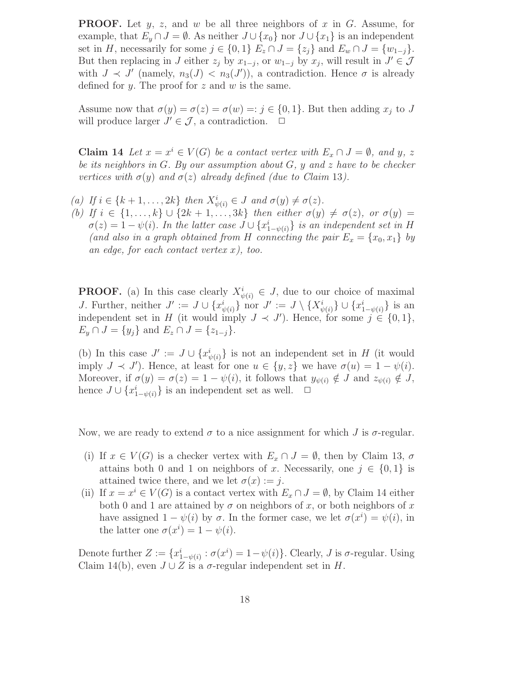**PROOF.** Let  $y$ ,  $z$ , and  $w$  be all three neighbors of  $x$  in  $G$ . Assume, for example, that  $E_y \cap J = \emptyset$ . As neither  $J \cup \{x_0\}$  nor  $J \cup \{x_1\}$  is an independent set in H, necessarily for some  $j \in \{0,1\}$   $E_z \cap J = \{z_j\}$  and  $E_w \cap J = \{w_{1-j}\}.$ But then replacing in J either  $z_j$  by  $x_{1-j}$ , or  $w_{1-j}$  by  $x_j$ , will result in  $J' \in \mathcal{J}$ with  $J \prec J'$  (namely,  $n_3(J) < n_3(J')$ ), a contradiction. Hence  $\sigma$  is already defined for y. The proof for  $z$  and  $w$  is the same.

Assume now that  $\sigma(y) = \sigma(z) = \sigma(w) =: j \in \{0, 1\}$ . But then adding  $x_j$  to J will produce larger  $J' \in \mathcal{J}$ , a contradiction.  $\Box$ 

**Claim 14** Let  $x = x^i \in V(G)$  be a contact vertex with  $E_x \cap J = \emptyset$ , and y, z be its neighbors in  $G$ . By our assumption about  $G$ ,  $y$  and  $z$  have to be checker vertices with  $\sigma(y)$  and  $\sigma(z)$  already defined (due to Claim 13).

- (a) If  $i \in \{k+1, \ldots, 2k\}$  then  $X^i_{\psi(i)} \in J$  and  $\sigma(y) \neq \sigma(z)$ .
- (b) If  $i \in \{1,\ldots,k\} \cup \{2k+1,\ldots,3k\}$  then either  $\sigma(y) \neq \sigma(z)$ , or  $\sigma(y) =$  $\sigma(z) = 1 - \psi(i)$ . In the latter case  $J \cup \{x_{1-\psi(i)}^i\}$  is an independent set in H (and also in a graph obtained from H connecting the pair  $E_x = \{x_0, x_1\}$  by an edge, for each contact vertex  $x$ ), too.

**PROOF.** (a) In this case clearly  $X_{\psi(i)}^i \in J$ , due to our choice of maximal J. Further, neither  $J' := J \cup \{x_{\psi(i)}^i\}$  nor  $J' := J \setminus \{X_{\psi(i)}^i\} \cup \{x_{1-\psi(i)}^i\}$  is an independent set in H (it would imply  $J \prec J'$ ). Hence, for some  $j \in \{0,1\}$ ,  $E_y \cap J = \{y_i\}$  and  $E_z \cap J = \{z_{1-i}\}.$ 

(b) In this case  $J' := J \cup \{x_{\psi(i)}^i\}$  is not an independent set in H (it would imply  $J \prec J'$ ). Hence, at least for one  $u \in \{y, z\}$  we have  $\sigma(u) = 1 - \psi(i)$ . Moreover, if  $\sigma(y) = \sigma(z) = 1 - \psi(i)$ , it follows that  $y_{\psi(i)} \notin J$  and  $z_{\psi(i)} \notin J$ , hence  $J \cup \{x_{1-\psi(i)}^i\}$  is an independent set as well.  $\Box$ 

Now, we are ready to extend  $\sigma$  to a nice assignment for which J is  $\sigma$ -regular.

- (i) If  $x \in V(G)$  is a checker vertex with  $E_x \cap J = \emptyset$ , then by Claim 13,  $\sigma$ attains both 0 and 1 on neighbors of x. Necessarily, one  $j \in \{0, 1\}$  is attained twice there, and we let  $\sigma(x) := j$ .
- (ii) If  $x = x^i \in V(G)$  is a contact vertex with  $E_x \cap J = \emptyset$ , by Claim 14 either both 0 and 1 are attained by  $\sigma$  on neighbors of x, or both neighbors of x have assigned  $1 - \psi(i)$  by  $\sigma$ . In the former case, we let  $\sigma(x^i) = \psi(i)$ , in the latter one  $\sigma(x^i) = 1 - \psi(i)$ .

Denote further  $Z := \{x_{1-\psi(i)}^i : \sigma(x^i) = 1-\psi(i)\}\.$  Clearly, J is  $\sigma$ -regular. Using Claim 14(b), even  $J \cup Z$  is a  $\sigma$ -regular independent set in H.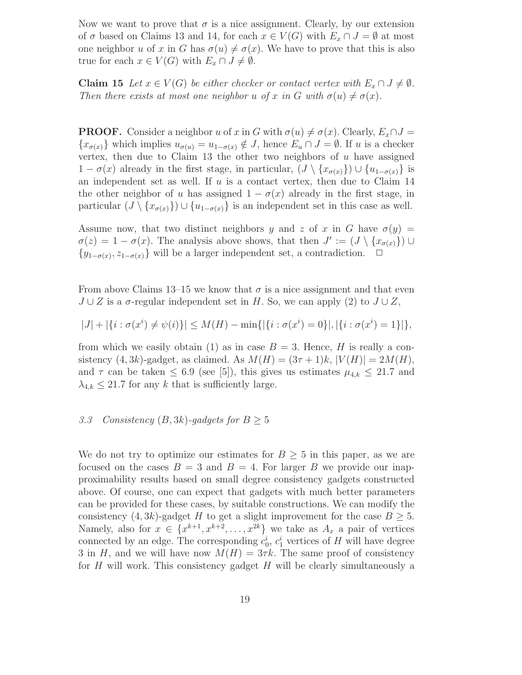Now we want to prove that  $\sigma$  is a nice assignment. Clearly, by our extension of  $\sigma$  based on Claims 13 and 14, for each  $x \in V(G)$  with  $E_x \cap J = \emptyset$  at most one neighbor u of x in G has  $\sigma(u) \neq \sigma(x)$ . We have to prove that this is also true for each  $x \in V(G)$  with  $E_x \cap J \neq \emptyset$ .

Claim 15 Let  $x \in V(G)$  be either checker or contact vertex with  $E_x \cap J \neq \emptyset$ . Then there exists at most one neighbor u of x in G with  $\sigma(u) \neq \sigma(x)$ .

**PROOF.** Consider a neighbor u of x in G with  $\sigma(u) \neq \sigma(x)$ . Clearly,  $E_x \cap J =$  ${x_{\sigma(x)}}$  which implies  $u_{\sigma(u)} = u_{1-\sigma(x)} \notin J$ , hence  $E_u \cap J = \emptyset$ . If u is a checker vertex, then due to Claim 13 the other two neighbors of  $u$  have assigned  $1 - \sigma(x)$  already in the first stage, in particular,  $(J \setminus \{x_{\sigma(x)}\}) \cup \{u_{1-\sigma(x)}\}$  is an independent set as well. If  $u$  is a contact vertex, then due to Claim 14 the other neighbor of u has assigned  $1 - \sigma(x)$  already in the first stage, in particular  $(J \setminus \{x_{\sigma(x)}\}) \cup \{u_{1-\sigma(x)}\}$  is an independent set in this case as well.

Assume now, that two distinct neighbors y and z of x in G have  $\sigma(y)$  =  $\sigma(z) = 1 - \sigma(x)$ . The analysis above shows, that then  $J' := (J \setminus \{x_{\sigma(x)}\}) \cup$  ${y_{1-\sigma(x), z_{1-\sigma(x)}}}$  will be a larger independent set, a contradiction.  $□$ 

From above Claims 13–15 we know that  $\sigma$  is a nice assignment and that even  $J \cup Z$  is a  $\sigma$ -regular independent set in H. So, we can apply (2) to  $J \cup Z$ ,

$$
|J| + |\{i : \sigma(x^i) \neq \psi(i)\}| \leq M(H) - \min\{|\{i : \sigma(x^i) = 0\}|, |\{i : \sigma(x^i) = 1\}|\},\
$$

from which we easily obtain (1) as in case  $B = 3$ . Hence, H is really a consistency  $(4, 3k)$ -gadget, as claimed. As  $M(H) = (3\tau + 1)k$ ,  $|V(H)| = 2M(H)$ , and  $\tau$  can be taken  $\leq 6.9$  (see [5]), this gives us estimates  $\mu_{4,k} \leq 21.7$  and  $\lambda_{4,k} \leq 21.7$  for any k that is sufficiently large.

## 3.3 Consistency  $(B, 3k)$ -gadgets for  $B \geq 5$

We do not try to optimize our estimates for  $B \geq 5$  in this paper, as we are focused on the cases  $B = 3$  and  $B = 4$ . For larger B we provide our inapproximability results based on small degree consistency gadgets constructed above. Of course, one can expect that gadgets with much better parameters can be provided for these cases, by suitable constructions. We can modify the consistency  $(4, 3k)$ -gadget H to get a slight improvement for the case  $B \geq 5$ . Namely, also for  $x \in \{x^{k+1}, x^{k+2}, \ldots, x^{2k}\}$  we take as  $A_x$  a pair of vertices connected by an edge. The corresponding  $c_0^i$ ,  $c_1^i$  vertices of H will have degree 3 in H, and we will have now  $M(H) = 3\tau k$ . The same proof of consistency for  $H$  will work. This consistency gadget  $H$  will be clearly simultaneously a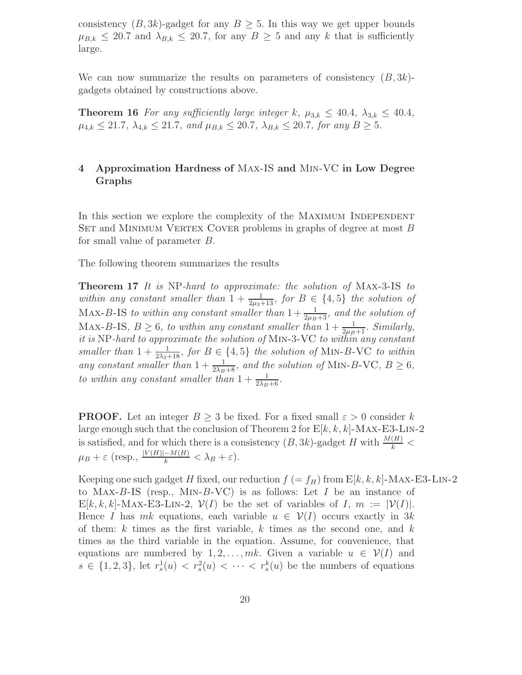consistency  $(B, 3k)$ -gadget for any  $B > 5$ . In this way we get upper bounds  $\mu_{B,k} \leq 20.7$  and  $\lambda_{B,k} \leq 20.7$ , for any  $B \geq 5$  and any k that is sufficiently large.

We can now summarize the results on parameters of consistency  $(B, 3k)$ gadgets obtained by constructions above.

**Theorem 16** For any sufficiently large integer k,  $\mu_{3,k} \leq 40.4$ ,  $\lambda_{3,k} \leq 40.4$ ,  $\mu_{4,k} \leq 21.7$ ,  $\lambda_{4,k} \leq 21.7$ , and  $\mu_{B,k} \leq 20.7$ ,  $\lambda_{B,k} \leq 20.7$ , for any  $B \geq 5$ .

# 4 Approximation Hardness of Max-IS and Min-VC in Low Degree Graphs

In this section we explore the complexity of the MAXIMUM INDEPENDENT SET and MINIMUM VERTEX COVER problems in graphs of degree at most  $B$ for small value of parameter B.

The following theorem summarizes the results

Theorem 17 It is NP-hard to approximate: the solution of Max-3-IS to within any constant smaller than  $1 + \frac{1}{2\mu_3 + 13}$ , for  $B \in \{4, 5\}$  the solution of MAX-B-IS to within any constant smaller than  $1+\frac{1}{2\mu_B+3}$ , and the solution of MAX-B-IS,  $B \geq 6$ , to within any constant smaller than  $1 + \frac{1}{2\mu_B + 1}$ . Similarly, it is NP-hard to approximate the solution of Min-3-VC to within any constant smaller than  $1 + \frac{1}{2\lambda_3 + 18}$ , for  $B \in \{4, 5\}$  the solution of MIN-B-VC to within any constant smaller than  $1 + \frac{1}{2\lambda_B + 8}$ , and the solution of MIN-B-VC,  $B \ge 6$ , to within any constant smaller than  $1 + \frac{1}{2\lambda_B + 6}$ .

**PROOF.** Let an integer  $B \geq 3$  be fixed. For a fixed small  $\varepsilon > 0$  consider k large enough such that the conclusion of Theorem 2 for  $E[k, k, k]$ -MAX-E3-LIN-2 is satisfied, and for which there is a consistency  $(B, 3k)$ -gadget H with  $\frac{M(H)}{k}$  <  $\mu_B + \varepsilon$  (resp.,  $\frac{|V(H)| - M(H)}{k} < \lambda_B + \varepsilon$ ).

Keeping one such gadget H fixed, our reduction  $f (= f_H)$  from  $E[k, k, k]$ -MAX-E3-LIN-2 to MAX-B-IS (resp., MIN-B-VC) is as follows: Let  $I$  be an instance of  $E[k, k, k]$ -MAX-E3-LIN-2,  $\mathcal{V}(I)$  be the set of variables of I,  $m := |\mathcal{V}(I)|$ . Hence I has mk equations, each variable  $u \in \mathcal{V}(I)$  occurs exactly in 3k of them:  $k$  times as the first variable,  $k$  times as the second one, and  $k$ times as the third variable in the equation. Assume, for convenience, that equations are numbered by  $1, 2, \ldots, mk$ . Given a variable  $u \in V(I)$  and  $s \in \{1,2,3\}$ , let  $r_s^1(u) < r_s^2(u) < \cdots < r_s^k(u)$  be the numbers of equations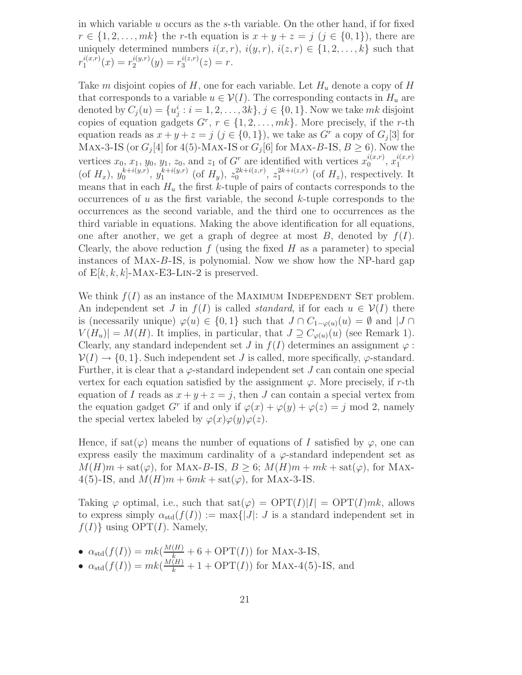in which variable u occurs as the s-th variable. On the other hand, if for fixed  $r \in \{1, 2, ..., m\}$  the r-th equation is  $x + y + z = j$   $(j \in \{0, 1\})$ , there are uniquely determined numbers  $i(x, r)$ ,  $i(y, r)$ ,  $i(z, r) \in \{1, 2, ..., k\}$  such that  $r_1^{i(x,r)}$  $i^{(x,r)}_1(x) = r_2^{i(y,r)}$  $i^{(y,r)}_2(y) = r_3^{i(z,r)}$  $j_3^{i(z,r)}(z) = r.$ 

Take m disjoint copies of H, one for each variable. Let  $H_u$  denote a copy of H that corresponds to a variable  $u \in V(I)$ . The corresponding contacts in  $H_u$  are denoted by  $C_j(u) = \{u_j^i : i = 1, 2, ..., 3k\}, j \in \{0, 1\}$ . Now we take  $mk$  disjoint copies of equation gadgets  $G^r$ ,  $r \in \{1, 2, ..., mk\}$ . More precisely, if the r-th equation reads as  $x + y + z = j$   $(j \in \{0, 1\})$ , we take as  $G<sup>r</sup>$  a copy of  $G<sub>j</sub>[3]$  for MAX-3-IS (or  $G_j[4]$  for 4(5)-MAX-IS or  $G_j[6]$  for MAX-B-IS,  $B \ge 6$ ). Now the vertices  $x_0, x_1, y_0, y_1, z_0$ , and  $z_1$  of  $G<sup>r</sup>$  are identified with vertices  $x_0^{i(x,r)}$  $i(x,r)$ ,  $x_1^{i(x,r)}$ 1 (of  $H_x$ ),  $y_0^{k+i(y,r)}$  $_{0}^{k+i(y,r)}, y_1^{k+i(y,r)}$  $_{1}^{k+i(y,r)}$  (of  $H_{y}$ ),  $z_{0}^{2k+i(z,r)}$  $2k+i(z,r)$ ,  $z_1^{2k+i(z,r)}$  $1^{2k+i(z,r)}$  (of  $H_z$ ), respectively. It means that in each  $H_u$  the first k-tuple of pairs of contacts corresponds to the occurrences of  $u$  as the first variable, the second  $k$ -tuple corresponds to the occurrences as the second variable, and the third one to occurrences as the third variable in equations. Making the above identification for all equations, one after another, we get a graph of degree at most  $B$ , denoted by  $f(I)$ . Clearly, the above reduction  $f$  (using the fixed  $H$  as a parameter) to special instances of Max-B-IS, is polynomial. Now we show how the NP-hard gap of  $E[k, k, k]$ -MAX-E3-LIN-2 is preserved.

We think  $f(I)$  as an instance of the MAXIMUM INDEPENDENT SET problem. An independent set J in  $f(I)$  is called *standard*, if for each  $u \in V(I)$  there is (necessarily unique)  $\varphi(u) \in \{0,1\}$  such that  $J \cap C_{1-\varphi(u)}(u) = \emptyset$  and  $|J \cap C|$  $V(H_u) = M(H)$ . It implies, in particular, that  $J \supseteq C_{\varphi(u)}(u)$  (see Remark 1). Clearly, any standard independent set J in  $f(I)$  determines an assignment  $\varphi$ :  $V(I) \rightarrow \{0, 1\}$ . Such independent set J is called, more specifically,  $\varphi$ -standard. Further, it is clear that a  $\varphi$ -standard independent set J can contain one special vertex for each equation satisfied by the assignment  $\varphi$ . More precisely, if r-th equation of I reads as  $x + y + z = j$ , then J can contain a special vertex from the equation gadget G<sup>r</sup> if and only if  $\varphi(x) + \varphi(y) + \varphi(z) = j \text{ mod } 2$ , namely the special vertex labeled by  $\varphi(x)\varphi(y)\varphi(z)$ .

Hence, if sat( $\varphi$ ) means the number of equations of I satisfied by  $\varphi$ , one can express easily the maximum cardinality of a  $\varphi$ -standard independent set as  $M(H)m + \text{sat}(\varphi)$ , for MAX-B-IS,  $B \geq 6$ ;  $M(H)m + mk + \text{sat}(\varphi)$ , for MAX-4(5)-IS, and  $M(H)m + 6mk + \text{sat}(\varphi)$ , for MAX-3-IS.

Taking  $\varphi$  optimal, i.e., such that  $\text{sat}(\varphi) = \text{OPT}(I)|I| = \text{OPT}(I)mk$ , allows to express simply  $\alpha_{\text{std}}(f(I)) := \max\{|J|: J \text{ is a standard independent set in }\}$  $f(I)$  using OPT $(I)$ . Namely,

- $\alpha_{\text{std}}(f(I)) = mk(\frac{M(H)}{k} + 6 + OPT(I))$  for MAX-3-IS,
- $\alpha_{\text{std}}(f(I)) = mk(\frac{M(H)}{k} + 1 + \text{OPT}(I))$  for MAX-4(5)-IS, and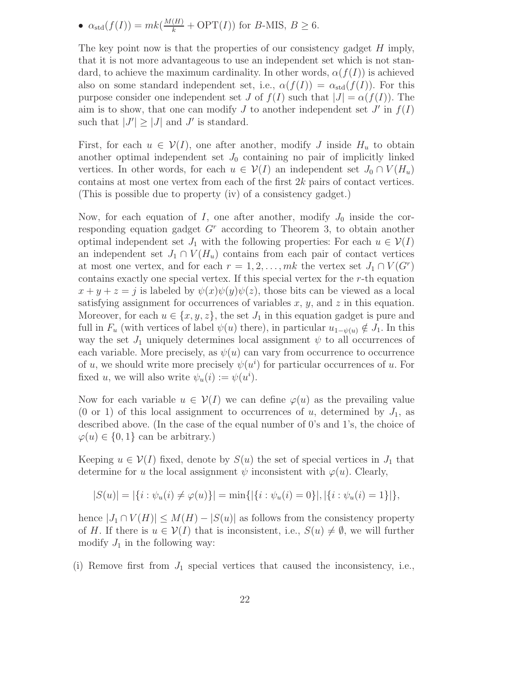•  $\alpha_{\text{std}}(f(I)) = mk(\frac{M(H)}{k} + \text{OPT}(I))$  for B-MIS,  $B \geq 6$ .

The key point now is that the properties of our consistency gadget  $H$  imply, that it is not more advantageous to use an independent set which is not standard, to achieve the maximum cardinality. In other words,  $\alpha(f(I))$  is achieved also on some standard independent set, i.e.,  $\alpha(f(I)) = \alpha_{std}(f(I))$ . For this purpose consider one independent set J of  $f(I)$  such that  $|J| = \alpha(f(I))$ . The aim is to show, that one can modify  $J$  to another independent set  $J'$  in  $f(I)$ such that  $|J'| \ge |J|$  and  $J'$  is standard.

First, for each  $u \in V(I)$ , one after another, modify J inside  $H_u$  to obtain another optimal independent set  $J_0$  containing no pair of implicitly linked vertices. In other words, for each  $u \in V(I)$  an independent set  $J_0 \cap V(H_u)$ contains at most one vertex from each of the first 2k pairs of contact vertices. (This is possible due to property (iv) of a consistency gadget.)

Now, for each equation of I, one after another, modify  $J_0$  inside the corresponding equation gadget  $G<sup>r</sup>$  according to Theorem 3, to obtain another optimal independent set  $J_1$  with the following properties: For each  $u \in \mathcal{V}(I)$ an independent set  $J_1 \cap V(H_u)$  contains from each pair of contact vertices at most one vertex, and for each  $r = 1, 2, ..., mk$  the vertex set  $J_1 \cap V(G^r)$ contains exactly one special vertex. If this special vertex for the r-th equation  $x + y + z = j$  is labeled by  $\psi(x)\psi(y)\psi(z)$ , those bits can be viewed as a local satisfying assignment for occurrences of variables  $x, y$ , and  $z$  in this equation. Moreover, for each  $u \in \{x, y, z\}$ , the set  $J_1$  in this equation gadget is pure and full in  $F_u$  (with vertices of label  $\psi(u)$  there), in particular  $u_{1-\psi(u)} \notin J_1$ . In this way the set  $J_1$  uniquely determines local assignment  $\psi$  to all occurrences of each variable. More precisely, as  $\psi(u)$  can vary from occurrence to occurrence of u, we should write more precisely  $\psi(u^i)$  for particular occurrences of u. For fixed u, we will also write  $\psi_u(i) := \psi(u^i)$ .

Now for each variable  $u \in V(I)$  we can define  $\varphi(u)$  as the prevailing value (0 or 1) of this local assignment to occurrences of u, determined by  $J_1$ , as described above. (In the case of the equal number of 0's and 1's, the choice of  $\varphi(u) \in \{0, 1\}$  can be arbitrary.)

Keeping  $u \in V(I)$  fixed, denote by  $S(u)$  the set of special vertices in  $J_1$  that determine for u the local assignment  $\psi$  inconsistent with  $\varphi(u)$ . Clearly,

$$
|S(u)| = |\{i : \psi_u(i) \neq \varphi(u)\}| = \min\{|\{i : \psi_u(i) = 0\}|, |\{i : \psi_u(i) = 1\}|\},\
$$

hence  $|J_1 \cap V(H)| \leq M(H) - |S(u)|$  as follows from the consistency property of H. If there is  $u \in V(I)$  that is inconsistent, i.e.,  $S(u) \neq \emptyset$ , we will further modify  $J_1$  in the following way:

(i) Remove first from  $J_1$  special vertices that caused the inconsistency, i.e.,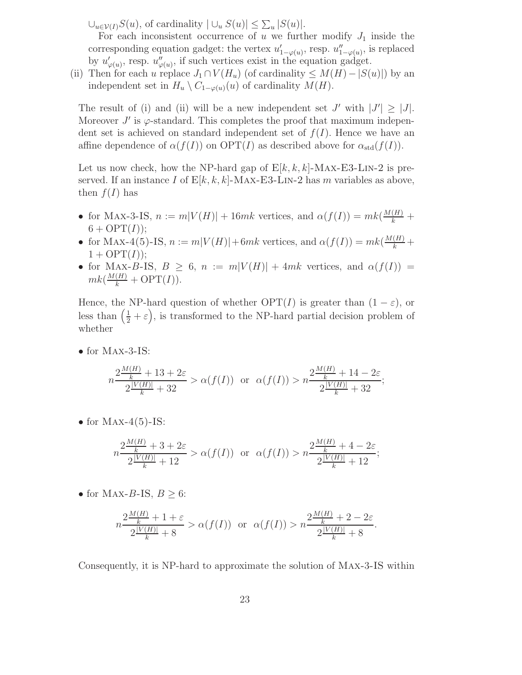$\bigcup_{u \in \mathcal{V}(I)} S(u)$ , of cardinality  $|\bigcup_{u} S(u)| \leq \sum_{u} |S(u)|$ .

For each inconsistent occurrence of u we further modify  $J_1$  inside the corresponding equation gadget: the vertex  $u'_{1-\varphi(u)}$ , resp.  $u''_{1-\varphi(u)}$ , is replaced by  $u'_{\varphi(u)}$ , resp.  $u''_{\varphi(u)}$ , if such vertices exist in the equation gadget.

(ii) Then for each u replace  $J_1 \cap V(H_u)$  (of cardinality  $\leq M(H)-|S(u)|$ ) by an independent set in  $H_u \setminus C_{1-\varphi(u)}(u)$  of cardinality  $M(H)$ .

The result of (i) and (ii) will be a new independent set  $J'$  with  $|J'| \geq |J|$ . Moreover  $J'$  is  $\varphi$ -standard. This completes the proof that maximum independent set is achieved on standard independent set of  $f(I)$ . Hence we have an affine dependence of  $\alpha(f(I))$  on  $\text{OPT}(I)$  as described above for  $\alpha_{\text{std}}(f(I))$ .

Let us now check, how the NP-hard gap of  $E[k, k, k]$ -MAX-E3-LIN-2 is preserved. If an instance I of  $E[k, k, k]$ -MAX-E3-LIN-2 has m variables as above, then  $f(I)$  has

- for MAX-3-IS,  $n := m|V(H)| + 16mk$  vertices, and  $\alpha(f(I)) = mk(\frac{M(H)}{k}) +$  $6 + \mathrm{OPT}(I));$
- for MAX-4(5)-IS,  $n := m|V(H)| + 6mk$  vertices, and  $\alpha(f(I)) = mk(\frac{M(H)}{k} +$  $1 + \text{OPT}(I)$ ;
- for MAX-B-IS,  $B \geq 6$ ,  $n := m|V(H)| + 4mk$  vertices, and  $\alpha(f(I)) =$  $mk(\frac{M(H)}{k} + \text{OPT}(I)).$

Hence, the NP-hard question of whether  $\text{OPT}(I)$  is greater than  $(1 - \varepsilon)$ , or less than  $(\frac{1}{2} + \varepsilon)$ , is transformed to the NP-hard partial decision problem of whether

• for Max-3-IS:

$$
n\frac{2\frac{M(H)}{k} + 13 + 2\varepsilon}{2\frac{|V(H)|}{k} + 32} > \alpha(f(I)) \text{ or } \alpha(f(I)) > n\frac{2\frac{M(H)}{k} + 14 - 2\varepsilon}{2\frac{|V(H)|}{k} + 32};
$$

• for  $Max-4(5)-IS$ :

$$
n\frac{2\frac{M(H)}{k} + 3 + 2\varepsilon}{2\frac{|V(H)|}{k} + 12} > \alpha(f(I)) \text{ or } \alpha(f(I)) > n\frac{2\frac{M(H)}{k} + 4 - 2\varepsilon}{2\frac{|V(H)|}{k} + 12};
$$

• for MAX-B-IS,  $B \geq 6$ :

$$
n\frac{2\frac{M(H)}{k}+1+\varepsilon}{2\frac{|V(H)|}{k}+8} > \alpha(f(I)) \text{ or } \alpha(f(I)) > n\frac{2\frac{M(H)}{k}+2-2\varepsilon}{2\frac{|V(H)|}{k}+8}.
$$

Consequently, it is NP-hard to approximate the solution of Max-3-IS within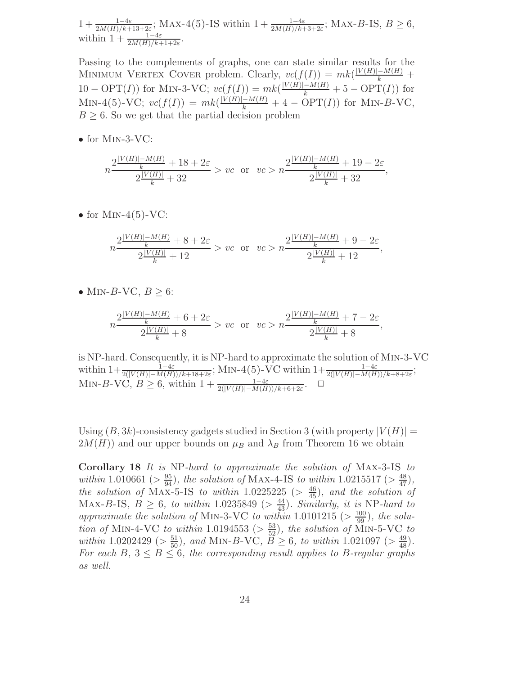$1+\frac{1-4\varepsilon}{2M(H)/k+13+2\varepsilon}$ ; MAX-4(5)-IS within  $1+\frac{1-4\varepsilon}{2M(H)/k+3+2\varepsilon}$ ; MAX-B-IS,  $B\geq 6$ , within  $1 + \frac{1-4\varepsilon}{2M(H)/k+1+2\varepsilon}$ .

Passing to the complements of graphs, one can state similar results for the MINIMUM VERTEX COVER problem. Clearly,  $vc(f(I)) = mk(\frac{|V(H)| - M(H)}{k} +$  $10 - \text{OPT}(I)$  for MIN-3-VC;  $vc(f(I)) = mk(\frac{|V(H)| - M(H)}{k} + 5 - \text{OPT}(I))$  for MIN-4(5)-VC;  $vc(f(I)) = mk(\frac{|V(H)| - M(H)}{k} + 4 - OPT(I))$  for MIN-B-VC,  $B \geq 6$ . So we get that the partial decision problem

• for  $MIN-3-VC$ :

$$
n\frac{2\frac{|V(H)| - M(H)}{k} + 18 + 2\varepsilon}{2\frac{|V(H)|}{k} + 32} > vc \text{ or } vc > n\frac{2\frac{|V(H)| - M(H)}{k} + 19 - 2\varepsilon}{2\frac{|V(H)|}{k} + 32},
$$

• for  $MIN-4(5)-VC$ :

$$
n\frac{2\frac{|V(H)|-M(H)}{k}+8+2\varepsilon}{2\frac{|V(H)|}{k}+12} > vc \text{ or } vc > n\frac{2\frac{|V(H)|-M(H)}{k}+9-2\varepsilon}{2\frac{|V(H)|}{k}+12},
$$

• MIN-B-VC,  $B \geq 6$ :

$$
n\frac{2\frac{|V(H)|-M(H)}{k}+6+2\varepsilon}{2\frac{|V(H)|}{k}+8}>vc\ \ \text{or}\ \ \ vc>n\frac{2\frac{|V(H)|-M(H)}{k}+7-2\varepsilon}{2\frac{|V(H)|}{k}+8},
$$

is NP-hard. Consequently, it is NP-hard to approximate the solution of Min-3-VC within  $1+\frac{1-4\varepsilon}{2(|V(H)|-M(H))/k+18+2\varepsilon}$ ; MIN-4(5)-VC within  $1+\frac{1-4\varepsilon}{2(|V(H)|-M(H))/k+8+2\varepsilon}$ ; MIN-B-VC,  $B \ge 6$ , within  $1 + \frac{1-4\varepsilon}{2(|V(H)| - M(H))/k + 6 + 2\varepsilon}$ .  $\Box$ 

Using  $(B, 3k)$ -consistency gadgets studied in Section 3 (with property  $|V(H)| =$  $2M(H)$ ) and our upper bounds on  $\mu_B$  and  $\lambda_B$  from Theorem 16 we obtain

Corollary 18 It is NP-hard to approximate the solution of Max-3-IS to within 1.010661 ( $> \frac{95}{94}$ ), the solution of MAX-4-IS to within 1.0215517 ( $> \frac{48}{47}$ ), the solution of MAX-5-IS to within 1.0225225 ( $>$  $\frac{46}{45}$ ), and the solution of MAX-B-IS,  $B \geq 6$ , to within 1.0235849 ( $> \frac{44}{43}$ ). Similarly, it is NP-hard to approximate the solution of MIN-3-VC to within 1.0101215 ( $> \frac{100}{99}$ ), the solution of MIN-4-VC to within 1.0194553 ( $> \frac{53}{52}$ ), the solution of MIN-5-VC to within 1.0202429 ( $> \frac{51}{50}$ ), and MIN-B-VC,  $\overline{B} \ge 6$ , to within 1.021097 ( $> \frac{49}{48}$ ). For each B,  $3 \leq B \leq 6$ , the corresponding result applies to B-regular graphs as well.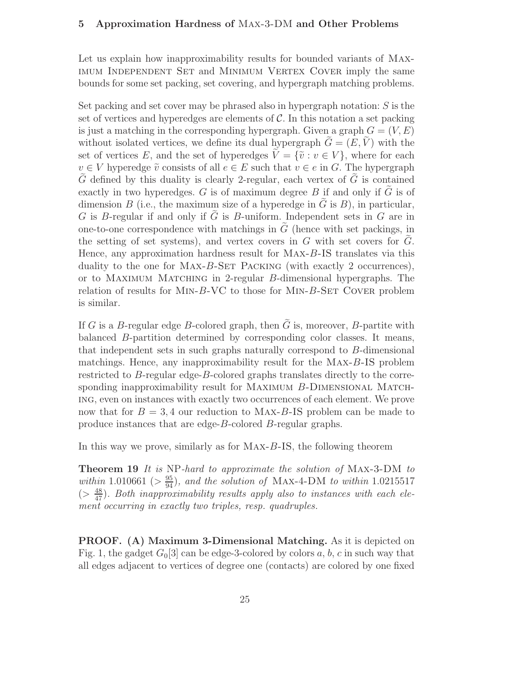#### 5 Approximation Hardness of Max-3-DM and Other Problems

Let us explain how inapproximability results for bounded variants of Maximum Independent Set and Minimum Vertex Cover imply the same bounds for some set packing, set covering, and hypergraph matching problems.

Set packing and set cover may be phrased also in hypergraph notation:  $S$  is the set of vertices and hyperedges are elements of  $\mathcal C$ . In this notation a set packing is just a matching in the corresponding hypergraph. Given a graph  $G = (V, E)$ without isolated vertices, we define its dual hypergraph  $G = (E, V)$  with the set of vertices E, and the set of hyperedges  $\tilde{V} = {\tilde{v}: v \in V}$ , where for each  $v \in V$  hyperedge  $\tilde{v}$  consists of all  $e \in E$  such that  $v \in e$  in G. The hypergraph  $\tilde{G}$  defined by this duality is clearly 2-regular, each vertex of  $\tilde{G}$  is contained exactly in two hyperedges.  $G$  is of maximum degree  $B$  if and only if  $\tilde{G}$  is of dimension B (i.e., the maximum size of a hyperedge in G is B), in particular,  $G$  is  $B$ -regular if and only if  $\tilde{G}$  is  $B$ -uniform. Independent sets in  $G$  are in one-to-one correspondence with matchings in  $G$  (hence with set packings, in the setting of set systems), and vertex covers in  $G$  with set covers for  $G$ . Hence, any approximation hardness result for Max-B-IS translates via this duality to the one for MAX-B-SET PACKING (with exactly 2 occurrences), or to Maximum Matching in 2-regular B-dimensional hypergraphs. The relation of results for MIN- $B$ -VC to those for MIN- $B$ -SET COVER problem is similar.

If G is a B-regular edge B-colored graph, then  $\tilde{G}$  is, moreover, B-partite with balanced B-partition determined by corresponding color classes. It means, that independent sets in such graphs naturally correspond to B-dimensional matchings. Hence, any inapproximability result for the Max-B-IS problem restricted to B-regular edge-B-colored graphs translates directly to the corresponding inapproximability result for MAXIMUM B-DIMENSIONAL MATCHing, even on instances with exactly two occurrences of each element. We prove now that for  $B = 3, 4$  our reduction to MAX-B-IS problem can be made to produce instances that are edge-B-colored B-regular graphs.

In this way we prove, similarly as for Max-B-IS, the following theorem

Theorem 19 It is NP-hard to approximate the solution of Max-3-DM to within 1.010661 ( $>\frac{95}{94}$ ), and the solution of MAX-4-DM to within 1.0215517  $(>\frac{48}{47})$ . Both inapproximability results apply also to instances with each element occurring in exactly two triples, resp. quadruples.

PROOF. (A) Maximum 3-Dimensional Matching. As it is depicted on Fig. 1, the gadget  $G_0[3]$  can be edge-3-colored by colors a, b, c in such way that all edges adjacent to vertices of degree one (contacts) are colored by one fixed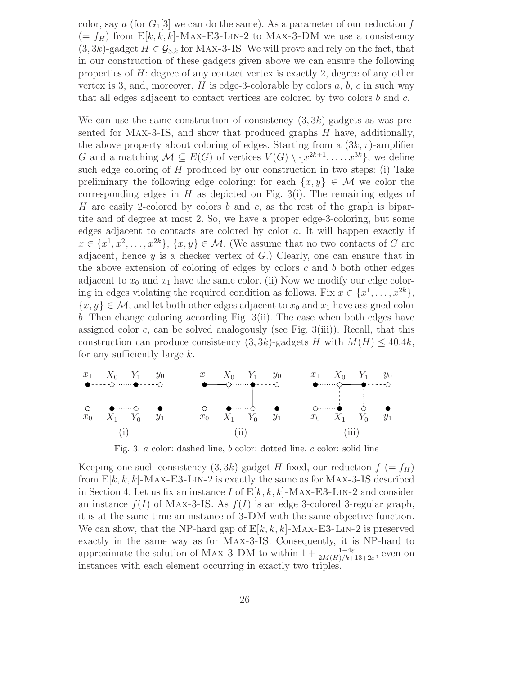color, say a (for  $G_1[3]$  we can do the same). As a parameter of our reduction f  $(= f_H)$  from  $E[k, k, k]$ -MAX-E3-LIN-2 to MAX-3-DM we use a consistency  $(3, 3k)$ -gadget  $H \in \mathcal{G}_{3,k}$  for MAX-3-IS. We will prove and rely on the fact, that in our construction of these gadgets given above we can ensure the following properties of  $H$ : degree of any contact vertex is exactly 2, degree of any other vertex is 3, and, moreover,  $H$  is edge-3-colorable by colors  $a, b, c$  in such way that all edges adjacent to contact vertices are colored by two colors  $b$  and  $c$ .

We can use the same construction of consistency  $(3, 3k)$ -gadgets as was presented for Max-3-IS, and show that produced graphs H have, additionally, the above property about coloring of edges. Starting from a  $(3k, \tau)$ -amplifier G and a matching  $\mathcal{M} \subseteq E(G)$  of vertices  $V(G) \setminus \{x^{2k+1}, \ldots, x^{3k}\},\$  we define such edge coloring of  $H$  produced by our construction in two steps: (i) Take preliminary the following edge coloring: for each  $\{x, y\} \in \mathcal{M}$  we color the corresponding edges in H as depicted on Fig. 3(i). The remaining edges of H are easily 2-colored by colors b and c, as the rest of the graph is bipartite and of degree at most 2. So, we have a proper edge-3-coloring, but some edges adjacent to contacts are colored by color a. It will happen exactly if  $x \in \{x^1, x^2, \ldots, x^{2k}\}, \{x, y\} \in \mathcal{M}$ . (We assume that no two contacts of G are adjacent, hence  $y$  is a checker vertex of  $G$ .) Clearly, one can ensure that in the above extension of coloring of edges by colors  $c$  and  $b$  both other edges adjacent to  $x_0$  and  $x_1$  have the same color. (ii) Now we modify our edge coloring in edges violating the required condition as follows. Fix  $x \in \{x^1, \ldots, x^{2k}\},$  ${x, y} \in \mathcal{M}$ , and let both other edges adjacent to  $x_0$  and  $x_1$  have assigned color b. Then change coloring according Fig. 3(ii). The case when both edges have assigned color c, can be solved analogously (see Fig.  $3(iii)$ ). Recall, that this construction can produce consistency  $(3, 3k)$ -gadgets H with  $M(H) \leq 40.4k$ , for any sufficiently large  $k$ .



Fig. 3. a color: dashed line, b color: dotted line, c color: solid line

Keeping one such consistency  $(3, 3k)$ -gadget H fixed, our reduction  $f = f_H$ ) from  $E[k, k, k]$ -MAX-E3-LIN-2 is exactly the same as for MAX-3-IS described in Section 4. Let us fix an instance I of  $E[k, k, k]$ -MAX-E3-LIN-2 and consider an instance  $f(I)$  of MAX-3-IS. As  $f(I)$  is an edge 3-colored 3-regular graph, it is at the same time an instance of 3-DM with the same objective function. We can show, that the NP-hard gap of  $E[k, k, k]$ -MAX-E3-LIN-2 is preserved exactly in the same way as for Max-3-IS. Consequently, it is NP-hard to approximate the solution of MAX-3-DM to within  $1 + \frac{1-4\varepsilon}{2M(H)/k+13+2\varepsilon}$ , even on instances with each element occurring in exactly two triples.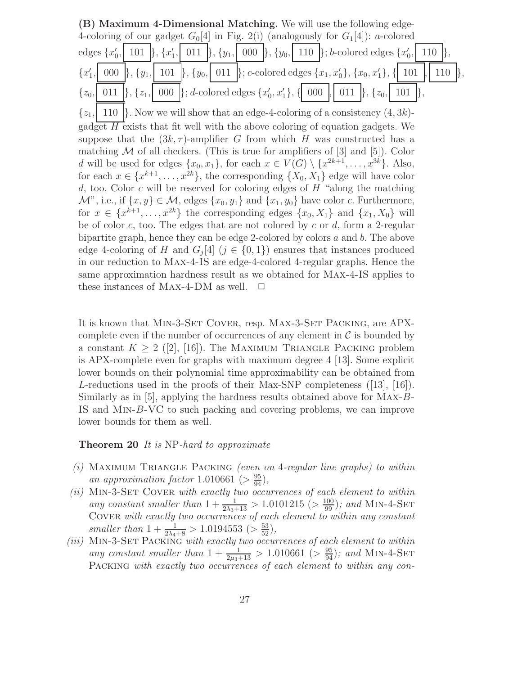(B) Maximum 4-Dimensional Matching. We will use the following edge-4-coloring of our gadget  $G_0[4]$  in Fig. 2(i) (analogously for  $G_1[4]$ ): a-colored edges  $\{x'_0\}$  $, | 101 |$ ,  $\{x'_1\}$  $\{y_1, \mid 011 \mid \}, \{y_1, \mid 000 \mid \}, \{y_0, \mid 110 \mid \}; b\text{-colored edges } \{x_0, \mid 011 \mid \}$ , 110 },  $\{x'_1\}$  $\{ | \; 000 \; | \}$ ,  $\{y_1, | \; 101 \; | \}$ ,  $\{y_0, | \; 011 \; | \}$ ; c-colored edges  $\{x_1, x_0'\}$ ,  $\{x_0, x_1'\}$ ,  $\{ | \; 101 \; | \}$  110  $| \}$ ,  $\{z_0, \begin{bmatrix} 0 & 11 \end{bmatrix}, \begin{bmatrix} z_1, \begin{bmatrix} 0 & 00 \end{bmatrix} \}; d\text{-colored edges } \{x'_0, x'_1\}, \begin{bmatrix} 0 & 0 & 0 \end{bmatrix}, \begin{bmatrix} 0 & 11 \end{bmatrix}, \begin{bmatrix} z_0, \begin{bmatrix} 1 & 0 & 1 \end{bmatrix} \}.$  $\{z_1, \mid 110 \}$ . Now we will show that an edge-4-coloring of a consistency  $(4, 3k)$ gadget  $\overline{H}$  exists that fit well with the above coloring of equation gadgets. We suppose that the  $(3k, \tau)$ -amplifier G from which H was constructed has a matching  $M$  of all checkers. (This is true for amplifiers of [3] and [5]). Color d will be used for edges  $\{x_0, x_1\}$ , for each  $x \in V(G) \setminus \{x^{2k+1}, \ldots, x^{3k}\}$ . Also, for each  $x \in \{x^{k+1}, \ldots, x^{2k}\},$  the corresponding  $\{X_0, X_1\}$  edge will have color d, too. Color c will be reserved for coloring edges of  $H$  "along the matching"  $\mathcal{M}$ ", i.e., if  $\{x, y\} \in \mathcal{M}$ , edges  $\{x_0, y_1\}$  and  $\{x_1, y_0\}$  have color c. Furthermore, for  $x \in \{x^{k+1}, \ldots, x^{2k}\}\$  the corresponding edges  $\{x_0, X_1\}$  and  $\{x_1, X_0\}$  will be of color c, too. The edges that are not colored by c or d, form a 2-regular bipartite graph, hence they can be edge 2-colored by colors a and b. The above edge 4-coloring of H and  $G_j[4]$   $(j \in \{0,1\})$  ensures that instances produced in our reduction to Max-4-IS are edge-4-colored 4-regular graphs. Hence the same approximation hardness result as we obtained for Max-4-IS applies to these instances of MAX-4-DM as well.  $\square$ 

It is known that MIN-3-SET COVER, resp. MAX-3-SET PACKING, are APXcomplete even if the number of occurrences of any element in  $\mathcal C$  is bounded by a constant  $K \geq 2$  ([2], [16]). The MAXIMUM TRIANGLE PACKING problem is APX-complete even for graphs with maximum degree 4 [13]. Some explicit lower bounds on their polynomial time approximability can be obtained from L-reductions used in the proofs of their Max-SNP completeness  $([13], [16])$ . Similarly as in [5], applying the hardness results obtained above for Max-B-IS and Min-B-VC to such packing and covering problems, we can improve lower bounds for them as well.

#### Theorem 20 It is NP-hard to approximate

- (i) MAXIMUM TRIANGLE PACKING (even on 4-regular line graphs) to within an approximation factor 1.010661 ( $>\frac{95}{94}$ ),
- $(ii)$  MIN-3-SET COVER with exactly two occurrences of each element to within any constant smaller than  $1 + \frac{1}{2\lambda_3 + 13} > 1.0101215$  ( $> \frac{100}{99}$ ); and MIN-4-SET COVER with exactly two occurrences of each element to within any constant smaller than  $1 + \frac{1}{2\lambda_4 + 8} > 1.0194553$  ( $> \frac{53}{52}$ ),
- (iii) MIN-3-SET PACKING with exactly two occurrences of each element to within any constant smaller than  $1 + \frac{1}{2\mu_3 + 13} > 1.010661$  ( $> \frac{95}{94}$ ); and MIN-4-SET PACKING with exactly two occurrences of each element to within any con-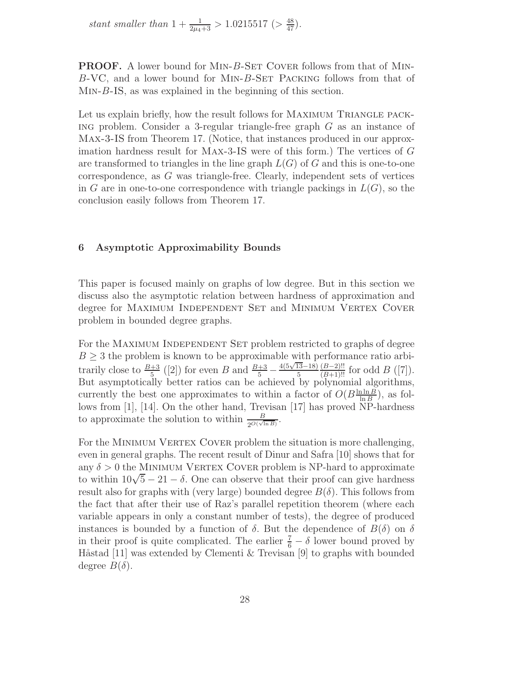stant smaller than  $1 + \frac{1}{2\mu_4 + 3} > 1.0215517$  ( $> \frac{48}{47}$ ).

PROOF. A lower bound for MIN-B-SET COVER follows from that of MIN-B-VC, and a lower bound for Min-B-Set Packing follows from that of Min-B-IS, as was explained in the beginning of this section.

Let us explain briefly, how the result follows for MAXIMUM TRIANGLE PACK-ING problem. Consider a 3-regular triangle-free graph  $G$  as an instance of Max-3-IS from Theorem 17. (Notice, that instances produced in our approximation hardness result for Max-3-IS were of this form.) The vertices of G are transformed to triangles in the line graph  $L(G)$  of G and this is one-to-one correspondence, as G was triangle-free. Clearly, independent sets of vertices in G are in one-to-one correspondence with triangle packings in  $L(G)$ , so the conclusion easily follows from Theorem 17.

#### 6 Asymptotic Approximability Bounds

This paper is focused mainly on graphs of low degree. But in this section we discuss also the asymptotic relation between hardness of approximation and degree for MAXIMUM INDEPENDENT SET and MINIMUM VERTEX COVER problem in bounded degree graphs.

For the MAXIMUM INDEPENDENT SET problem restricted to graphs of degree  $B \geq 3$  the problem is known to be approximable with performance ratio arbitrarily close to  $\frac{B+3}{5}$  ([2]) for even B and  $\frac{B+3}{5}$  –  $\frac{4(5\sqrt{13}-18)}{5} \frac{(B-2)!!}{(B+1)!!}$  for odd  $B$  ([7]). But asymptotically better ratios can be achieved by polynomial algorithms, currently the best one approximates to within a factor of  $O(B^{\frac{\ln \ln B}{\ln B}})$  $\frac{\ln \ln B}{\ln B}$ , as follows from [1], [14]. On the other hand, Trevisan [17] has proved  $\overline{NP}$ -hardness to approximate the solution to within  $\frac{B}{2^{O(\sqrt{\ln B})}}$ .

For the MINIMUM VERTEX COVER problem the situation is more challenging, even in general graphs. The recent result of Dinur and Safra [10] shows that for any  $\delta > 0$  the MINIMUM VERTEX COVER problem is NP-hard to approximate to within  $10\sqrt{5} - 21 - \delta$ . One can observe that their proof can give hardness result also for graphs with (very large) bounded degree  $B(\delta)$ . This follows from the fact that after their use of Raz's parallel repetition theorem (where each variable appears in only a constant number of tests), the degree of produced instances is bounded by a function of  $\delta$ . But the dependence of  $B(\delta)$  on  $\delta$ in their proof is quite complicated. The earlier  $\frac{7}{6} - \delta$  lower bound proved by Håstad [11] was extended by Clementi & Trevisan [9] to graphs with bounded degree  $B(\delta)$ .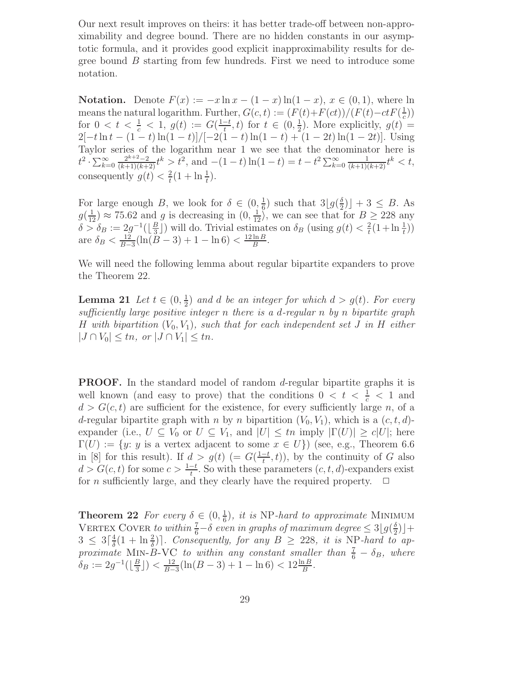Our next result improves on theirs: it has better trade-off between non-approximability and degree bound. There are no hidden constants in our asymptotic formula, and it provides good explicit inapproximability results for degree bound  $B$  starting from few hundreds. First we need to introduce some notation.

**Notation.** Denote  $F(x) := -x \ln x - (1 - x) \ln(1 - x)$ ,  $x \in (0, 1)$ , where ln means the natural logarithm. Further,  $G(c, t) := (F(t) + F(ct))/(F(t) - ctF(\frac{1}{c}))$ for  $0 < t < \frac{1}{c} < 1$ ,  $g(t) := G(\frac{1-t}{t}, t)$  for  $t \in (0, \frac{1}{2})$ . More explicitly,  $g(t)$  $(\frac{1}{2})$ . More explicitly,  $g(t) =$  $2[-t\ln t - (1-t)\ln(1-t)]/[-2(1-t)\ln(1-t) + (1-2t)\ln(1-2t)].$  Using Taylor series of the logarithm near 1 we see that the denominator here is  $t^2 \cdot \sum_{k=0}^{\infty} \frac{2^{k+2}-2}{(k+1)(k+2)} t^k > t^2$ , and  $-(1-t) \ln(1-t) = t - t^2 \sum_{k=0}^{\infty} \frac{1}{(k+1)(k+2)} t^k < t$ , consequently  $g(t) < \frac{2}{t}$  $\frac{2}{t}(1 + \ln \frac{1}{t}).$ 

For large enough B, we look for  $\delta \in (0, \frac{1}{6})$  such that  $3[g(\frac{\delta}{2})] + 3 \leq B$ . As  $g(\frac{1}{12}) \approx 75.62$  and g is decreasing in  $(0, \frac{1}{12})$ , we can see that for  $B \ge 228$  any  $\delta > \delta_B := 2g^{-1}(\lfloor \frac{B}{3} \rfloor)$  $(\frac{B}{3})$  will do. Trivial estimates on  $\delta_B$  (using  $g(t) < \frac{2}{t}$ )  $\frac{2}{t}(1+\ln\frac{1}{t}))$ are  $\delta_B < \frac{12}{B-}$  $\frac{12}{B-3}$ (ln( $\overline{B}$  – 3) + 1 – ln 6) <  $\frac{12 \ln B}{B}$  $\frac{\ln B}{B}$ .

We will need the following lemma about regular bipartite expanders to prove the Theorem 22.

Lemma 21 Let  $t \in (0, \frac{1}{2})$  $\frac{1}{2}$ ) and d be an integer for which  $d > g(t)$ . For every sufficiently large positive integer n there is a d-regular n by n bipartite graph H with bipartition  $(V_0, V_1)$ , such that for each independent set J in H either  $|J \cap V_0| \leq tn$ , or  $|J \cap V_1| \leq tn$ .

**PROOF.** In the standard model of random d-regular bipartite graphs it is well known (and easy to prove) that the conditions  $0 < t < \frac{1}{c} < 1$  and  $d > G(c, t)$  are sufficient for the existence, for every sufficiently large n, of a d-regular bipartite graph with n by n bipartition  $(V_0, V_1)$ , which is a  $(c, t, d)$ expander (i.e.,  $U \subseteq V_0$  or  $U \subseteq V_1$ , and  $|U| \leq tn$  imply  $|\Gamma(U)| \geq c|U|$ ; here  $\Gamma(U) := \{y: y \text{ is a vertex adjacent to some } x \in U\}$  (see, e.g., Theorem 6.6) in [8] for this result). If  $d > g(t)$  (=  $G(\frac{1-t}{t},t)$ ), by the continuity of G also  $d > G(c, t)$  for some  $c > \frac{1-t}{t}$ . So with these parameters  $(c, t, d)$ -expanders exist for *n* sufficiently large, and they clearly have the required property.  $\Box$ 

**Theorem 22** For every  $\delta \in (0, \frac{1}{6})$  $\frac{1}{6}$ , it is NP-hard to approximate MINIMUM VERTEX COVER to within  $\frac{7}{6}-\delta$  even in graphs of maximum degree  $\leq 3 \lfloor g(\frac{\delta}{2}) \rfloor$  $\frac{1}{2})$  +  $3 \leq 3\lceil \frac{4}{\delta} \rceil$  $\frac{4}{\delta}(1 + \ln \frac{2}{\delta})$ . Consequently, for any  $B \geq 228$ , it is NP-hard to approximate MIN-B-VC to within any constant smaller than  $\frac{7}{6} - \delta_B$ , where  $\delta_B := 2g^{-1}(\lfloor \frac{B}{3} \rfloor)$  $\frac{B}{3}$ ]) <  $\frac{12}{B-}$  $\frac{12}{B-3}(\ln(B-3)+1-\ln 6)<12\frac{\ln B}{B}.$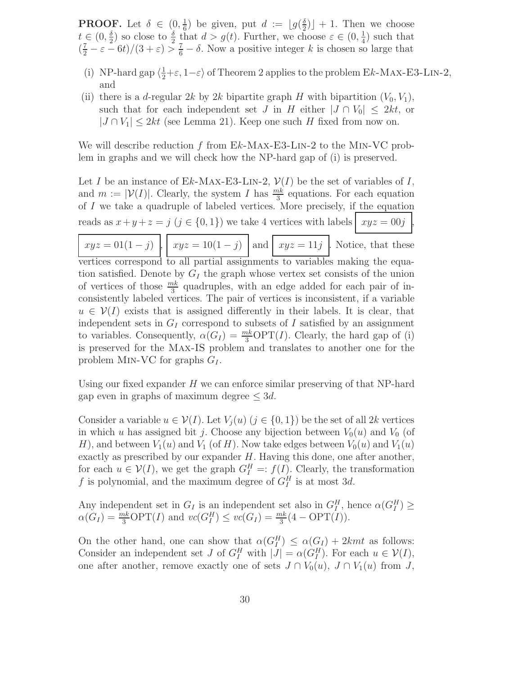**PROOF.** Let  $\delta \in (0, \frac{1}{6})$  be given, put  $d := \lfloor g(\frac{\delta}{2}) \rfloor + 1$ . Then we choose  $t \in (0, \frac{\delta}{2})$  so close to  $\frac{\delta}{2}$  that  $d > g(t)$ . Further, we ch  $\frac{\delta}{2}$ ) so close to  $\frac{\delta}{2}$  that  $d > g(t)$ . Further, we choose  $\varepsilon \in (0, \frac{1}{4})$  $(\frac{1}{4})$  such that  $(\frac{7}{2} - \varepsilon - 6t)/(3 + \varepsilon) > \frac{7}{6} - \delta$ . Now a positive integer k is chosen so large that

- (i) NP-hard gap  $\langle \frac{1}{2} + \varepsilon, 1 \varepsilon \rangle$  of Theorem 2 applies to the problem Ek-MAX-E3-LIN-2, and
- (ii) there is a d-regular 2k by 2k bipartite graph H with bipartition  $(V_0, V_1)$ , such that for each independent set J in H either  $|J \cap V_0| \leq 2kt$ , or  $|J \cap V_1| \leq 2kt$  (see Lemma 21). Keep one such H fixed from now on.

We will describe reduction f from  $Ek-MAX-E3-LIN-2$  to the MIN-VC problem in graphs and we will check how the NP-hard gap of (i) is preserved.

Let I be an instance of Ek-Max-E3-LIN-2,  $\mathcal{V}(I)$  be the set of variables of I, and  $m := |\mathcal{V}(I)|$ . Clearly, the system I has  $\frac{mk}{3}$  equations. For each equation of  $I$  we take a quadruple of labeled vertices. More precisely, if the equation reads as  $x + y + z = j$   $(j \in \{0, 1\})$  we take 4 vertices with labels  $xyz = 00j$ 

 $xyz = 01(1-j)$ ,  $xyz = 10(1-j)$  and  $xyz = 11j$ . Notice, that these vertices correspond to all partial assignments to variables making the equation satisfied. Denote by  $G_I$  the graph whose vertex set consists of the union of vertices of those  $\frac{mk}{3}$  quadruples, with an edge added for each pair of inconsistently labeled vertices. The pair of vertices is inconsistent, if a variable  $u \in V(I)$  exists that is assigned differently in their labels. It is clear, that independent sets in  $G_I$  correspond to subsets of I satisfied by an assignment to variables. Consequently,  $\alpha(G_I) = \frac{mk}{3} \text{OPT}(I)$ . Clearly, the hard gap of (i) is preserved for the Max-IS problem and translates to another one for the problem MIN-VC for graphs  $G_I$ .

Using our fixed expander  $H$  we can enforce similar preserving of that NP-hard gap even in graphs of maximum degree  $\leq 3d$ .

Consider a variable  $u \in V(I)$ . Let  $V_i(u)$   $(j \in \{0,1\})$  be the set of all 2k vertices in which u has assigned bit j. Choose any bijection between  $V_0(u)$  and  $V_0$  (of H), and between  $V_1(u)$  and  $V_1$  (of H). Now take edges between  $V_0(u)$  and  $V_1(u)$ exactly as prescribed by our expander  $H$ . Having this done, one after another, for each  $u \in V(I)$ , we get the graph  $G_I^H =: f(I)$ . Clearly, the transformation f is polynomial, and the maximum degree of  $G_I^H$  is at most 3d.

Any independent set in  $G_I$  is an independent set also in  $G_I^H$ , hence  $\alpha(G_I^H) \ge$  $\alpha(G_I) = \frac{mk}{3} \text{OPT}(I)$  and  $vc(G_I^H) \leq vc(G_I) = \frac{mk}{3}(4 - \text{OPT}(I)).$ 

On the other hand, one can show that  $\alpha(G_I^H) \leq \alpha(G_I) + 2kmt$  as follows: Consider an independent set J of  $G_I^H$  with  $|J| = \alpha(G_I^H)$ . For each  $u \in \mathcal{V}(I)$ , one after another, remove exactly one of sets  $J \cap V_0(u)$ ,  $J \cap V_1(u)$  from J,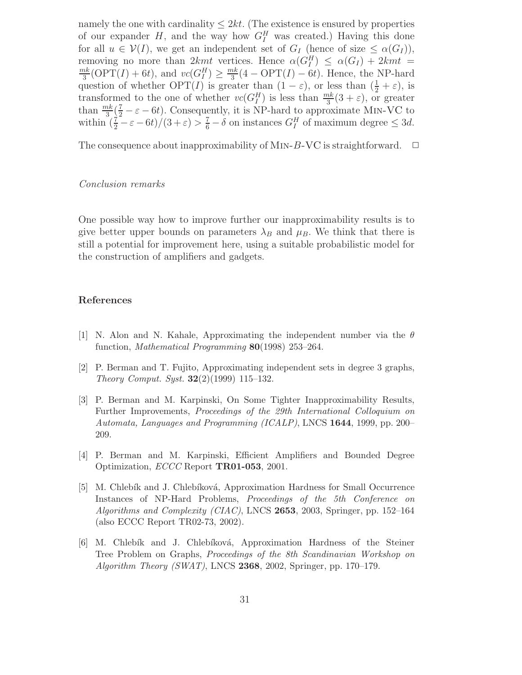namely the one with cardinality  $\leq 2kt$ . (The existence is ensured by properties of our expander  $H$ , and the way how  $G_I^H$  was created.) Having this done for all  $u \in \mathcal{V}(I)$ , we get an independent set of  $G_I$  (hence of size  $\leq \alpha(G_I)$ ), removing no more than  $2kmt$  vertices. Hence  $\alpha(G_I^H) \leq \alpha(G_I) + 2kmt$  $\mathbb{m}$  $\frac{nk}{3}$ (OPT(*I*) + 6*t*), and  $vc(G_I^H) \geq \frac{mk}{3}$  $\frac{ak}{3}(4 - \text{OPT}(I) - 6t)$ . Hence, the NP-hard question of whether  $\text{OPT}(I)$  is greater than  $(1 - \varepsilon)$ , or less than  $(\frac{1}{2} + \varepsilon)$ , is transformed to the one of whether  $vc(G_I^H)$  is less than  $\frac{mk}{3}(3+\varepsilon)$ , or greater than  $\frac{mk}{3}(\frac{7}{2}-\varepsilon-6t)$ . Consequently, it is NP-hard to approximate MIN-VC to within  $(\frac{7}{2} - \varepsilon - 6t)/(3 + \varepsilon) > \frac{7}{6} - \delta$  on instances  $G_I^H$  of maximum degree  $\leq 3d$ .

The consequence about inapproximability of MIN-B-VC is straightforward.  $\Box$ 

#### Conclusion remarks

One possible way how to improve further our inapproximability results is to give better upper bounds on parameters  $\lambda_B$  and  $\mu_B$ . We think that there is still a potential for improvement here, using a suitable probabilistic model for the construction of amplifiers and gadgets.

## References

- [1] N. Alon and N. Kahale, Approximating the independent number via the  $\theta$ function, Mathematical Programming 80(1998) 253–264.
- [2] P. Berman and T. Fujito, Approximating independent sets in degree 3 graphs, Theory Comput. Syst.  $32(2)(1999)$  115–132.
- [3] P. Berman and M. Karpinski, On Some Tighter Inapproximability Results, Further Improvements, Proceedings of the 29th International Colloquium on Automata, Languages and Programming (ICALP), LNCS 1644, 1999, pp. 200– 209.
- [4] P. Berman and M. Karpinski, Efficient Amplifiers and Bounded Degree Optimization, ECCC Report TR01-053, 2001.
- [5] M. Chlebík and J. Chlebíková, Approximation Hardness for Small Occurrence Instances of NP-Hard Problems, Proceedings of the 5th Conference on Algorithms and Complexity (CIAC), LNCS 2653, 2003, Springer, pp. 152–164 (also ECCC Report TR02-73, 2002).
- [6] M. Chlebík and J. Chlebíková, Approximation Hardness of the Steiner Tree Problem on Graphs, Proceedings of the 8th Scandinavian Workshop on Algorithm Theory (SWAT), LNCS 2368, 2002, Springer, pp. 170–179.